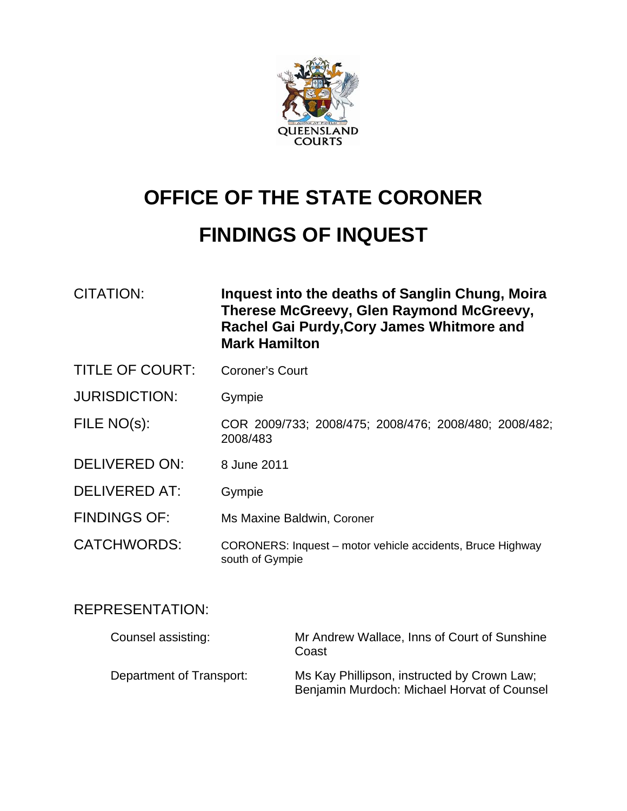

# **OFFICE OF THE STATE CORONER**

# **FINDINGS OF INQUEST**

| <b>CITATION:</b>       | Inquest into the deaths of Sanglin Chung, Moira<br>Therese McGreevy, Glen Raymond McGreevy,<br>Rachel Gai Purdy, Cory James Whitmore and<br><b>Mark Hamilton</b> |  |
|------------------------|------------------------------------------------------------------------------------------------------------------------------------------------------------------|--|
| <b>TITLE OF COURT:</b> | <b>Coroner's Court</b>                                                                                                                                           |  |
| <b>JURISDICTION:</b>   | Gympie                                                                                                                                                           |  |
| FILE NO(s):            | COR 2009/733; 2008/475; 2008/476; 2008/480; 2008/482;<br>2008/483                                                                                                |  |
| <b>DELIVERED ON:</b>   | 8 June 2011                                                                                                                                                      |  |
| <b>DELIVERED AT:</b>   | Gympie                                                                                                                                                           |  |
| <b>FINDINGS OF:</b>    | Ms Maxine Baldwin, Coroner                                                                                                                                       |  |
| <b>CATCHWORDS:</b>     | CORONERS: Inquest - motor vehicle accidents, Bruce Highway<br>south of Gympie                                                                                    |  |

# REPRESENTATION:

| Counsel assisting:       | Mr Andrew Wallace, Inns of Court of Sunshine<br>Coast                                      |
|--------------------------|--------------------------------------------------------------------------------------------|
| Department of Transport: | Ms Kay Phillipson, instructed by Crown Law;<br>Benjamin Murdoch: Michael Horvat of Counsel |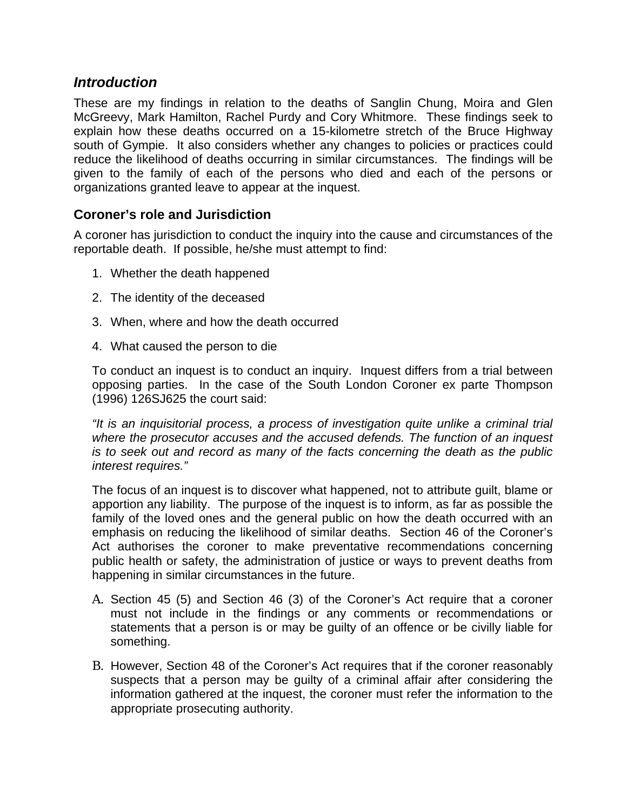## *Introduction*

These are my findings in relation to the deaths of Sanglin Chung, Moira and Glen McGreevy, Mark Hamilton, Rachel Purdy and Cory Whitmore. These findings seek to explain how these deaths occurred on a 15-kilometre stretch of the Bruce Highway south of Gympie. It also considers whether any changes to policies or practices could reduce the likelihood of deaths occurring in similar circumstances. The findings will be given to the family of each of the persons who died and each of the persons or organizations granted leave to appear at the inquest.

## **Coroner's role and Jurisdiction**

A coroner has jurisdiction to conduct the inquiry into the cause and circumstances of the reportable death. If possible, he/she must attempt to find:

- 1. Whether the death happened
- 2. The identity of the deceased
- 3. When, where and how the death occurred
- 4. What caused the person to die

To conduct an inquest is to conduct an inquiry. Inquest differs from a trial between opposing parties. In the case of the South London Coroner ex parte Thompson (1996) 126SJ625 the court said:

*"It is an inquisitorial process, a process of investigation quite unlike a criminal trial where the prosecutor accuses and the accused defends. The function of an inquest is to seek out and record as many of the facts concerning the death as the public interest requires."* 

The focus of an inquest is to discover what happened, not to attribute guilt, blame or apportion any liability. The purpose of the inquest is to inform, as far as possible the family of the loved ones and the general public on how the death occurred with an emphasis on reducing the likelihood of similar deaths. Section 46 of the Coroner's Act authorises the coroner to make preventative recommendations concerning public health or safety, the administration of justice or ways to prevent deaths from happening in similar circumstances in the future.

- A. Section 45 (5) and Section 46 (3) of the Coroner's Act require that a coroner must not include in the findings or any comments or recommendations or statements that a person is or may be guilty of an offence or be civilly liable for something.
- B. However, Section 48 of the Coroner's Act requires that if the coroner reasonably suspects that a person may be guilty of a criminal affair after considering the information gathered at the inquest, the coroner must refer the information to the appropriate prosecuting authority.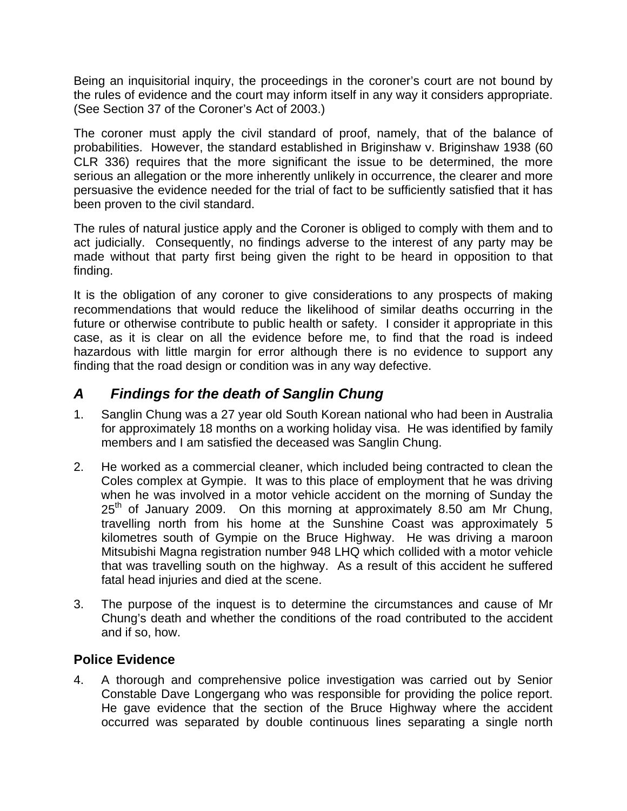Being an inquisitorial inquiry, the proceedings in the coroner's court are not bound by the rules of evidence and the court may inform itself in any way it considers appropriate. (See Section 37 of the Coroner's Act of 2003.)

The coroner must apply the civil standard of proof, namely, that of the balance of probabilities. However, the standard established in Briginshaw v. Briginshaw 1938 (60 CLR 336) requires that the more significant the issue to be determined, the more serious an allegation or the more inherently unlikely in occurrence, the clearer and more persuasive the evidence needed for the trial of fact to be sufficiently satisfied that it has been proven to the civil standard.

The rules of natural justice apply and the Coroner is obliged to comply with them and to act judicially. Consequently, no findings adverse to the interest of any party may be made without that party first being given the right to be heard in opposition to that finding.

It is the obligation of any coroner to give considerations to any prospects of making recommendations that would reduce the likelihood of similar deaths occurring in the future or otherwise contribute to public health or safety. I consider it appropriate in this case, as it is clear on all the evidence before me, to find that the road is indeed hazardous with little margin for error although there is no evidence to support any finding that the road design or condition was in any way defective.

## *A Findings for the death of Sanglin Chung*

- 1. Sanglin Chung was a 27 year old South Korean national who had been in Australia for approximately 18 months on a working holiday visa. He was identified by family members and I am satisfied the deceased was Sanglin Chung.
- 2. He worked as a commercial cleaner, which included being contracted to clean the Coles complex at Gympie. It was to this place of employment that he was driving when he was involved in a motor vehicle accident on the morning of Sunday the  $25<sup>th</sup>$  of January 2009. On this morning at approximately 8.50 am Mr Chung, travelling north from his home at the Sunshine Coast was approximately 5 kilometres south of Gympie on the Bruce Highway. He was driving a maroon Mitsubishi Magna registration number 948 LHQ which collided with a motor vehicle that was travelling south on the highway. As a result of this accident he suffered fatal head injuries and died at the scene.
- 3. The purpose of the inquest is to determine the circumstances and cause of Mr Chung's death and whether the conditions of the road contributed to the accident and if so, how.

## **Police Evidence**

4. A thorough and comprehensive police investigation was carried out by Senior Constable Dave Longergang who was responsible for providing the police report. He gave evidence that the section of the Bruce Highway where the accident occurred was separated by double continuous lines separating a single north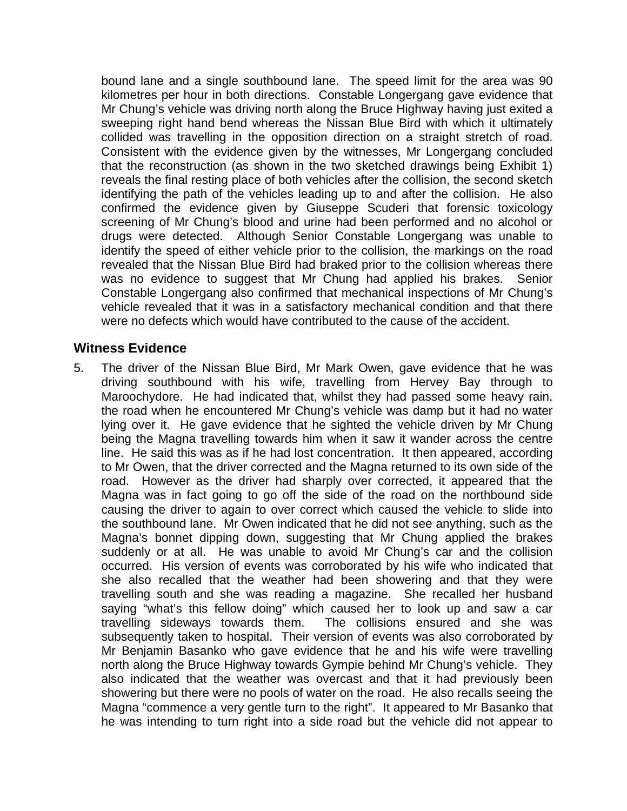bound lane and a single southbound lane. The speed limit for the area was 90 kilometres per hour in both directions. Constable Longergang gave evidence that Mr Chung's vehicle was driving north along the Bruce Highway having just exited a sweeping right hand bend whereas the Nissan Blue Bird with which it ultimately collided was travelling in the opposition direction on a straight stretch of road. Consistent with the evidence given by the witnesses, Mr Longergang concluded that the reconstruction (as shown in the two sketched drawings being Exhibit 1) reveals the final resting place of both vehicles after the collision, the second sketch identifying the path of the vehicles leading up to and after the collision. He also confirmed the evidence given by Giuseppe Scuderi that forensic toxicology screening of Mr Chung's blood and urine had been performed and no alcohol or drugs were detected. Although Senior Constable Longergang was unable to identify the speed of either vehicle prior to the collision, the markings on the road revealed that the Nissan Blue Bird had braked prior to the collision whereas there was no evidence to suggest that Mr Chung had applied his brakes. Senior Constable Longergang also confirmed that mechanical inspections of Mr Chung's vehicle revealed that it was in a satisfactory mechanical condition and that there were no defects which would have contributed to the cause of the accident.

#### **Witness Evidence**

5. The driver of the Nissan Blue Bird, Mr Mark Owen, gave evidence that he was driving southbound with his wife, travelling from Hervey Bay through to Maroochydore. He had indicated that, whilst they had passed some heavy rain, the road when he encountered Mr Chung's vehicle was damp but it had no water lying over it. He gave evidence that he sighted the vehicle driven by Mr Chung being the Magna travelling towards him when it saw it wander across the centre line. He said this was as if he had lost concentration. It then appeared, according to Mr Owen, that the driver corrected and the Magna returned to its own side of the road. However as the driver had sharply over corrected, it appeared that the Magna was in fact going to go off the side of the road on the northbound side causing the driver to again to over correct which caused the vehicle to slide into the southbound lane. Mr Owen indicated that he did not see anything, such as the Magna's bonnet dipping down, suggesting that Mr Chung applied the brakes suddenly or at all. He was unable to avoid Mr Chung's car and the collision occurred. His version of events was corroborated by his wife who indicated that she also recalled that the weather had been showering and that they were travelling south and she was reading a magazine. She recalled her husband saying "what's this fellow doing" which caused her to look up and saw a car travelling sideways towards them. The collisions ensured and she was subsequently taken to hospital. Their version of events was also corroborated by Mr Benjamin Basanko who gave evidence that he and his wife were travelling north along the Bruce Highway towards Gympie behind Mr Chung's vehicle. They also indicated that the weather was overcast and that it had previously been showering but there were no pools of water on the road. He also recalls seeing the Magna "commence a very gentle turn to the right". It appeared to Mr Basanko that he was intending to turn right into a side road but the vehicle did not appear to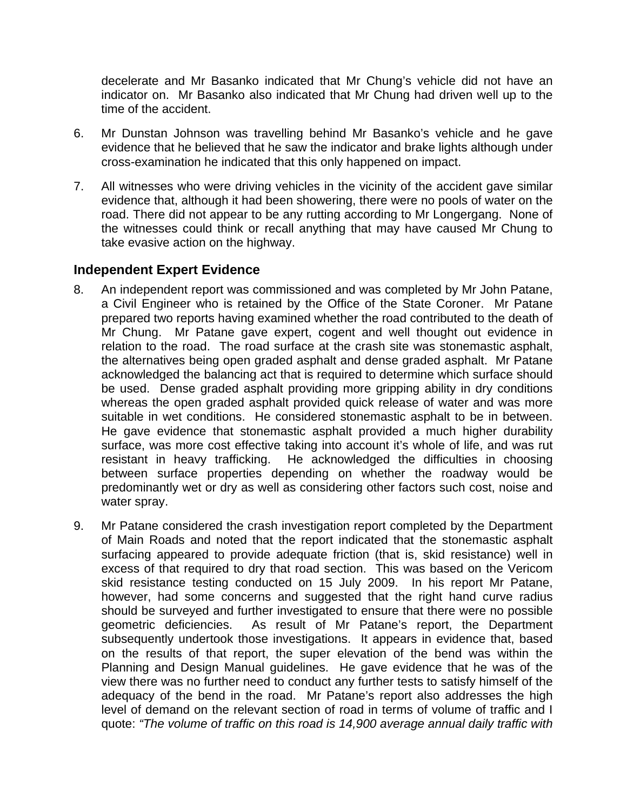decelerate and Mr Basanko indicated that Mr Chung's vehicle did not have an indicator on. Mr Basanko also indicated that Mr Chung had driven well up to the time of the accident.

- 6. Mr Dunstan Johnson was travelling behind Mr Basanko's vehicle and he gave evidence that he believed that he saw the indicator and brake lights although under cross-examination he indicated that this only happened on impact.
- 7. All witnesses who were driving vehicles in the vicinity of the accident gave similar evidence that, although it had been showering, there were no pools of water on the road. There did not appear to be any rutting according to Mr Longergang. None of the witnesses could think or recall anything that may have caused Mr Chung to take evasive action on the highway.

## **Independent Expert Evidence**

- 8. An independent report was commissioned and was completed by Mr John Patane, a Civil Engineer who is retained by the Office of the State Coroner. Mr Patane prepared two reports having examined whether the road contributed to the death of Mr Chung. Mr Patane gave expert, cogent and well thought out evidence in relation to the road. The road surface at the crash site was stonemastic asphalt, the alternatives being open graded asphalt and dense graded asphalt. Mr Patane acknowledged the balancing act that is required to determine which surface should be used. Dense graded asphalt providing more gripping ability in dry conditions whereas the open graded asphalt provided quick release of water and was more suitable in wet conditions. He considered stonemastic asphalt to be in between. He gave evidence that stonemastic asphalt provided a much higher durability surface, was more cost effective taking into account it's whole of life, and was rut resistant in heavy trafficking. He acknowledged the difficulties in choosing between surface properties depending on whether the roadway would be predominantly wet or dry as well as considering other factors such cost, noise and water spray.
- 9. Mr Patane considered the crash investigation report completed by the Department of Main Roads and noted that the report indicated that the stonemastic asphalt surfacing appeared to provide adequate friction (that is, skid resistance) well in excess of that required to dry that road section. This was based on the Vericom skid resistance testing conducted on 15 July 2009. In his report Mr Patane, however, had some concerns and suggested that the right hand curve radius should be surveyed and further investigated to ensure that there were no possible geometric deficiencies. As result of Mr Patane's report, the Department subsequently undertook those investigations. It appears in evidence that, based on the results of that report, the super elevation of the bend was within the Planning and Design Manual guidelines. He gave evidence that he was of the view there was no further need to conduct any further tests to satisfy himself of the adequacy of the bend in the road. Mr Patane's report also addresses the high level of demand on the relevant section of road in terms of volume of traffic and I quote: *"The volume of traffic on this road is 14,900 average annual daily traffic with*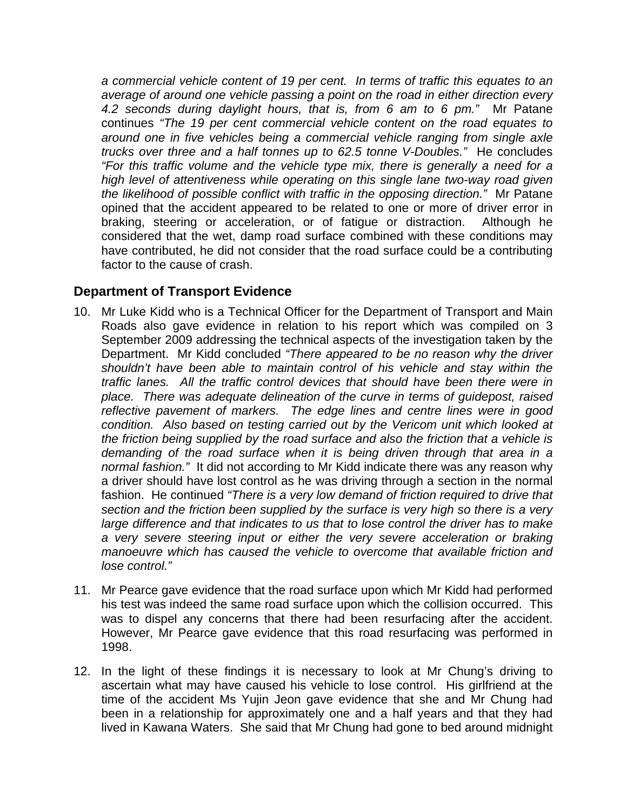*a commercial vehicle content of 19 per cent. In terms of traffic this equates to an average of around one vehicle passing a point on the road in either direction every 4.2 seconds during daylight hours, that is, from 6 am to 6 pm."* Mr Patane continues *"The 19 per cent commercial vehicle content on the road equates to around one in five vehicles being a commercial vehicle ranging from single axle trucks over three and a half tonnes up to 62.5 tonne V-Doubles."* He concludes *"For this traffic volume and the vehicle type mix, there is generally a need for a high level of attentiveness while operating on this single lane two-way road given the likelihood of possible conflict with traffic in the opposing direction."* Mr Patane opined that the accident appeared to be related to one or more of driver error in braking, steering or acceleration, or of fatigue or distraction. Although he considered that the wet, damp road surface combined with these conditions may have contributed, he did not consider that the road surface could be a contributing factor to the cause of crash.

## **Department of Transport Evidence**

- 10. Mr Luke Kidd who is a Technical Officer for the Department of Transport and Main Roads also gave evidence in relation to his report which was compiled on 3 September 2009 addressing the technical aspects of the investigation taken by the Department. Mr Kidd concluded *"There appeared to be no reason why the driver shouldn't have been able to maintain control of his vehicle and stay within the traffic lanes. All the traffic control devices that should have been there were in place. There was adequate delineation of the curve in terms of guidepost, raised reflective pavement of markers. The edge lines and centre lines were in good condition. Also based on testing carried out by the Vericom unit which looked at the friction being supplied by the road surface and also the friction that a vehicle is demanding of the road surface when it is being driven through that area in a normal fashion."* It did not according to Mr Kidd indicate there was any reason why a driver should have lost control as he was driving through a section in the normal fashion. He continued *"There is a very low demand of friction required to drive that section and the friction been supplied by the surface is very high so there is a very large difference and that indicates to us that to lose control the driver has to make a very severe steering input or either the very severe acceleration or braking manoeuvre which has caused the vehicle to overcome that available friction and lose control."*
- 11. Mr Pearce gave evidence that the road surface upon which Mr Kidd had performed his test was indeed the same road surface upon which the collision occurred. This was to dispel any concerns that there had been resurfacing after the accident. However, Mr Pearce gave evidence that this road resurfacing was performed in 1998.
- 12. In the light of these findings it is necessary to look at Mr Chung's driving to ascertain what may have caused his vehicle to lose control. His girlfriend at the time of the accident Ms Yujin Jeon gave evidence that she and Mr Chung had been in a relationship for approximately one and a half years and that they had lived in Kawana Waters. She said that Mr Chung had gone to bed around midnight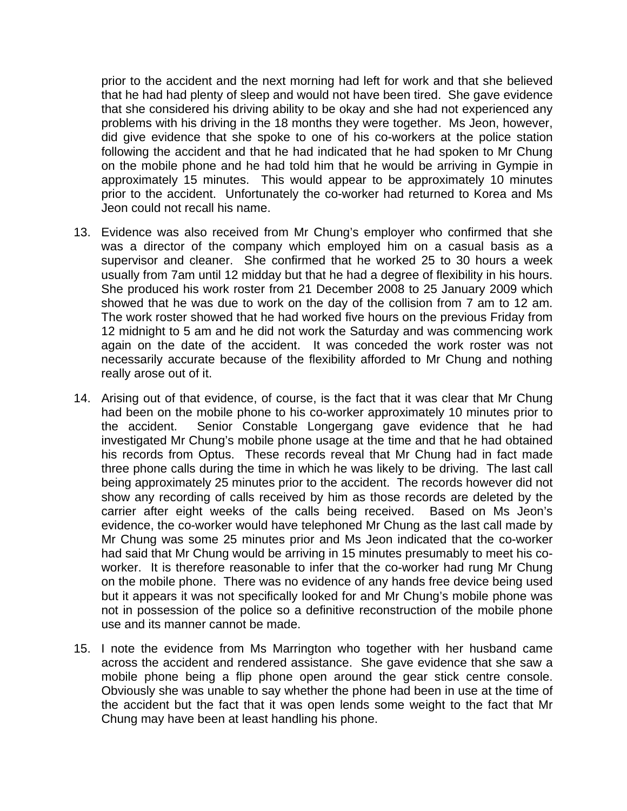prior to the accident and the next morning had left for work and that she believed that he had had plenty of sleep and would not have been tired. She gave evidence that she considered his driving ability to be okay and she had not experienced any problems with his driving in the 18 months they were together. Ms Jeon, however, did give evidence that she spoke to one of his co-workers at the police station following the accident and that he had indicated that he had spoken to Mr Chung on the mobile phone and he had told him that he would be arriving in Gympie in approximately 15 minutes. This would appear to be approximately 10 minutes prior to the accident. Unfortunately the co-worker had returned to Korea and Ms Jeon could not recall his name.

- 13. Evidence was also received from Mr Chung's employer who confirmed that she was a director of the company which employed him on a casual basis as a supervisor and cleaner. She confirmed that he worked 25 to 30 hours a week usually from 7am until 12 midday but that he had a degree of flexibility in his hours. She produced his work roster from 21 December 2008 to 25 January 2009 which showed that he was due to work on the day of the collision from 7 am to 12 am. The work roster showed that he had worked five hours on the previous Friday from 12 midnight to 5 am and he did not work the Saturday and was commencing work again on the date of the accident. It was conceded the work roster was not necessarily accurate because of the flexibility afforded to Mr Chung and nothing really arose out of it.
- 14. Arising out of that evidence, of course, is the fact that it was clear that Mr Chung had been on the mobile phone to his co-worker approximately 10 minutes prior to the accident. Senior Constable Longergang gave evidence that he had investigated Mr Chung's mobile phone usage at the time and that he had obtained his records from Optus. These records reveal that Mr Chung had in fact made three phone calls during the time in which he was likely to be driving. The last call being approximately 25 minutes prior to the accident. The records however did not show any recording of calls received by him as those records are deleted by the carrier after eight weeks of the calls being received. Based on Ms Jeon's evidence, the co-worker would have telephoned Mr Chung as the last call made by Mr Chung was some 25 minutes prior and Ms Jeon indicated that the co-worker had said that Mr Chung would be arriving in 15 minutes presumably to meet his coworker. It is therefore reasonable to infer that the co-worker had rung Mr Chung on the mobile phone. There was no evidence of any hands free device being used but it appears it was not specifically looked for and Mr Chung's mobile phone was not in possession of the police so a definitive reconstruction of the mobile phone use and its manner cannot be made.
- 15. I note the evidence from Ms Marrington who together with her husband came across the accident and rendered assistance. She gave evidence that she saw a mobile phone being a flip phone open around the gear stick centre console. Obviously she was unable to say whether the phone had been in use at the time of the accident but the fact that it was open lends some weight to the fact that Mr Chung may have been at least handling his phone.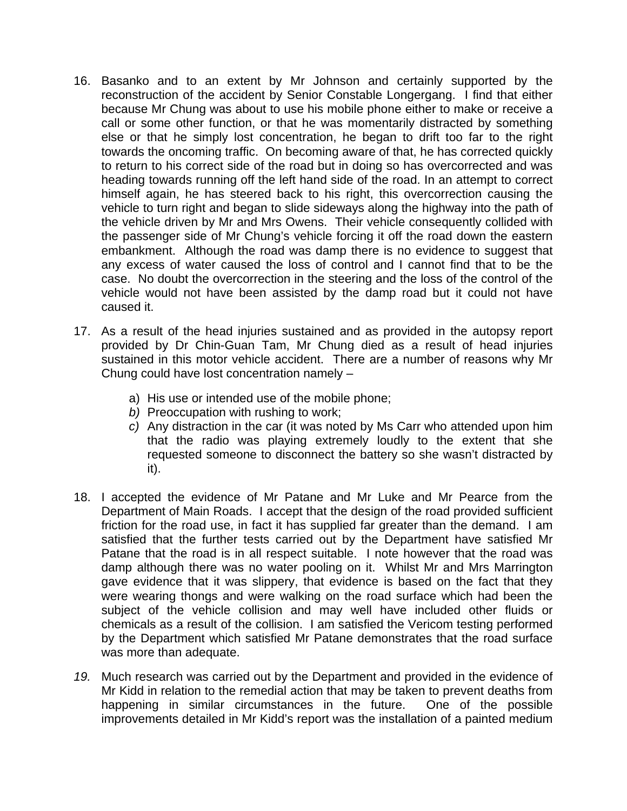- 16. Basanko and to an extent by Mr Johnson and certainly supported by the reconstruction of the accident by Senior Constable Longergang. I find that either because Mr Chung was about to use his mobile phone either to make or receive a call or some other function, or that he was momentarily distracted by something else or that he simply lost concentration, he began to drift too far to the right towards the oncoming traffic. On becoming aware of that, he has corrected quickly to return to his correct side of the road but in doing so has overcorrected and was heading towards running off the left hand side of the road. In an attempt to correct himself again, he has steered back to his right, this overcorrection causing the vehicle to turn right and began to slide sideways along the highway into the path of the vehicle driven by Mr and Mrs Owens. Their vehicle consequently collided with the passenger side of Mr Chung's vehicle forcing it off the road down the eastern embankment. Although the road was damp there is no evidence to suggest that any excess of water caused the loss of control and I cannot find that to be the case. No doubt the overcorrection in the steering and the loss of the control of the vehicle would not have been assisted by the damp road but it could not have caused it.
- 17. As a result of the head injuries sustained and as provided in the autopsy report provided by Dr Chin-Guan Tam, Mr Chung died as a result of head injuries sustained in this motor vehicle accident. There are a number of reasons why Mr Chung could have lost concentration namely –
	- a) His use or intended use of the mobile phone;
	- *b)* Preoccupation with rushing to work;
	- *c)* Any distraction in the car (it was noted by Ms Carr who attended upon him that the radio was playing extremely loudly to the extent that she requested someone to disconnect the battery so she wasn't distracted by it).
- 18. I accepted the evidence of Mr Patane and Mr Luke and Mr Pearce from the Department of Main Roads. I accept that the design of the road provided sufficient friction for the road use, in fact it has supplied far greater than the demand. I am satisfied that the further tests carried out by the Department have satisfied Mr Patane that the road is in all respect suitable. I note however that the road was damp although there was no water pooling on it. Whilst Mr and Mrs Marrington gave evidence that it was slippery, that evidence is based on the fact that they were wearing thongs and were walking on the road surface which had been the subject of the vehicle collision and may well have included other fluids or chemicals as a result of the collision. I am satisfied the Vericom testing performed by the Department which satisfied Mr Patane demonstrates that the road surface was more than adequate.
- *19.* Much research was carried out by the Department and provided in the evidence of Mr Kidd in relation to the remedial action that may be taken to prevent deaths from happening in similar circumstances in the future. One of the possible improvements detailed in Mr Kidd's report was the installation of a painted medium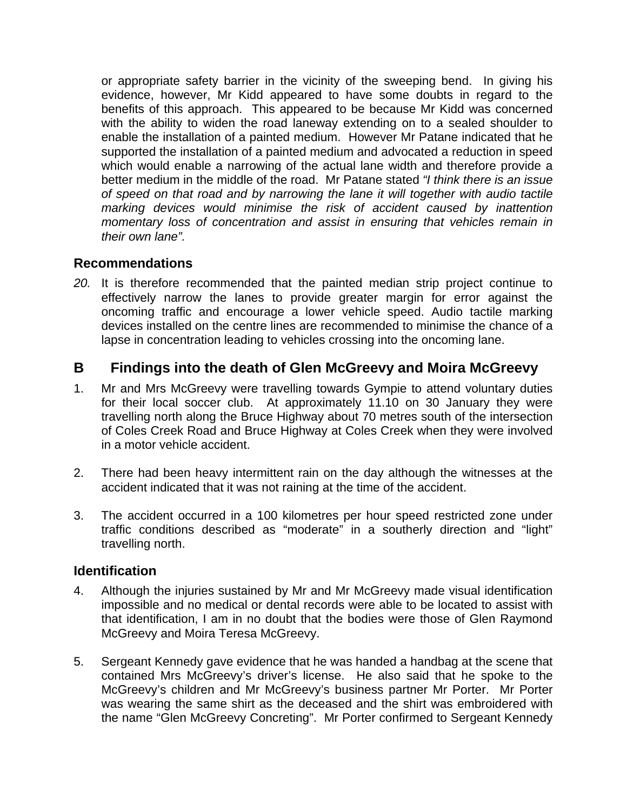or appropriate safety barrier in the vicinity of the sweeping bend. In giving his evidence, however, Mr Kidd appeared to have some doubts in regard to the benefits of this approach. This appeared to be because Mr Kidd was concerned with the ability to widen the road laneway extending on to a sealed shoulder to enable the installation of a painted medium. However Mr Patane indicated that he supported the installation of a painted medium and advocated a reduction in speed which would enable a narrowing of the actual lane width and therefore provide a better medium in the middle of the road. Mr Patane stated *"I think there is an issue of speed on that road and by narrowing the lane it will together with audio tactile marking devices would minimise the risk of accident caused by inattention momentary loss of concentration and assist in ensuring that vehicles remain in their own lane".* 

## **Recommendations**

*20.* It is therefore recommended that the painted median strip project continue to effectively narrow the lanes to provide greater margin for error against the oncoming traffic and encourage a lower vehicle speed. Audio tactile marking devices installed on the centre lines are recommended to minimise the chance of a lapse in concentration leading to vehicles crossing into the oncoming lane.

## **B Findings into the death of Glen McGreevy and Moira McGreevy**

- 1. Mr and Mrs McGreevy were travelling towards Gympie to attend voluntary duties for their local soccer club. At approximately 11.10 on 30 January they were travelling north along the Bruce Highway about 70 metres south of the intersection of Coles Creek Road and Bruce Highway at Coles Creek when they were involved in a motor vehicle accident.
- 2. There had been heavy intermittent rain on the day although the witnesses at the accident indicated that it was not raining at the time of the accident.
- 3. The accident occurred in a 100 kilometres per hour speed restricted zone under traffic conditions described as "moderate" in a southerly direction and "light" travelling north.

## **Identification**

- 4. Although the injuries sustained by Mr and Mr McGreevy made visual identification impossible and no medical or dental records were able to be located to assist with that identification, I am in no doubt that the bodies were those of Glen Raymond McGreevy and Moira Teresa McGreevy.
- 5. Sergeant Kennedy gave evidence that he was handed a handbag at the scene that contained Mrs McGreevy's driver's license. He also said that he spoke to the McGreevy's children and Mr McGreevy's business partner Mr Porter. Mr Porter was wearing the same shirt as the deceased and the shirt was embroidered with the name "Glen McGreevy Concreting". Mr Porter confirmed to Sergeant Kennedy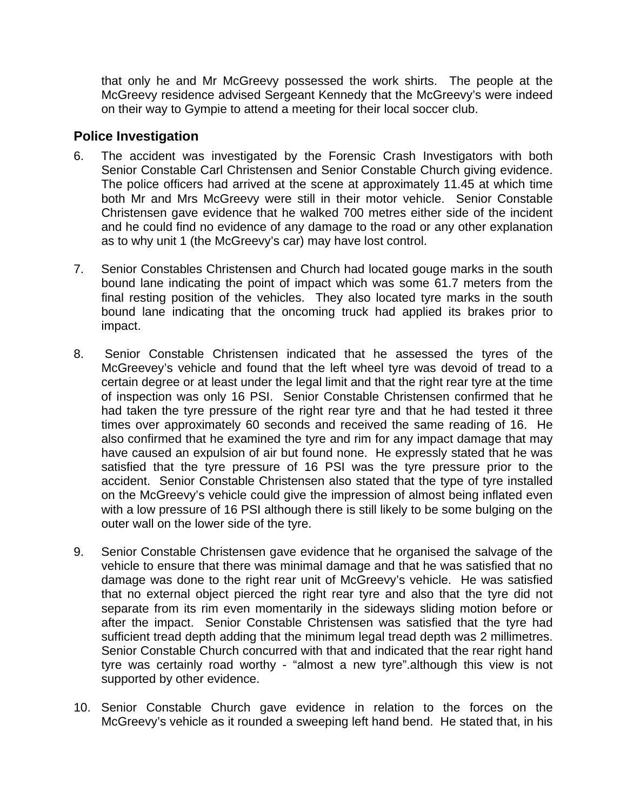that only he and Mr McGreevy possessed the work shirts. The people at the McGreevy residence advised Sergeant Kennedy that the McGreevy's were indeed on their way to Gympie to attend a meeting for their local soccer club.

#### **Police Investigation**

- 6. The accident was investigated by the Forensic Crash Investigators with both Senior Constable Carl Christensen and Senior Constable Church giving evidence. The police officers had arrived at the scene at approximately 11.45 at which time both Mr and Mrs McGreevy were still in their motor vehicle. Senior Constable Christensen gave evidence that he walked 700 metres either side of the incident and he could find no evidence of any damage to the road or any other explanation as to why unit 1 (the McGreevy's car) may have lost control.
- 7. Senior Constables Christensen and Church had located gouge marks in the south bound lane indicating the point of impact which was some 61.7 meters from the final resting position of the vehicles. They also located tyre marks in the south bound lane indicating that the oncoming truck had applied its brakes prior to impact.
- 8. Senior Constable Christensen indicated that he assessed the tyres of the McGreevey's vehicle and found that the left wheel tyre was devoid of tread to a certain degree or at least under the legal limit and that the right rear tyre at the time of inspection was only 16 PSI. Senior Constable Christensen confirmed that he had taken the tyre pressure of the right rear tyre and that he had tested it three times over approximately 60 seconds and received the same reading of 16. He also confirmed that he examined the tyre and rim for any impact damage that may have caused an expulsion of air but found none. He expressly stated that he was satisfied that the tyre pressure of 16 PSI was the tyre pressure prior to the accident. Senior Constable Christensen also stated that the type of tyre installed on the McGreevy's vehicle could give the impression of almost being inflated even with a low pressure of 16 PSI although there is still likely to be some bulging on the outer wall on the lower side of the tyre.
- 9. Senior Constable Christensen gave evidence that he organised the salvage of the vehicle to ensure that there was minimal damage and that he was satisfied that no damage was done to the right rear unit of McGreevy's vehicle. He was satisfied that no external object pierced the right rear tyre and also that the tyre did not separate from its rim even momentarily in the sideways sliding motion before or after the impact. Senior Constable Christensen was satisfied that the tyre had sufficient tread depth adding that the minimum legal tread depth was 2 millimetres. Senior Constable Church concurred with that and indicated that the rear right hand tyre was certainly road worthy - "almost a new tyre".although this view is not supported by other evidence.
- 10. Senior Constable Church gave evidence in relation to the forces on the McGreevy's vehicle as it rounded a sweeping left hand bend. He stated that, in his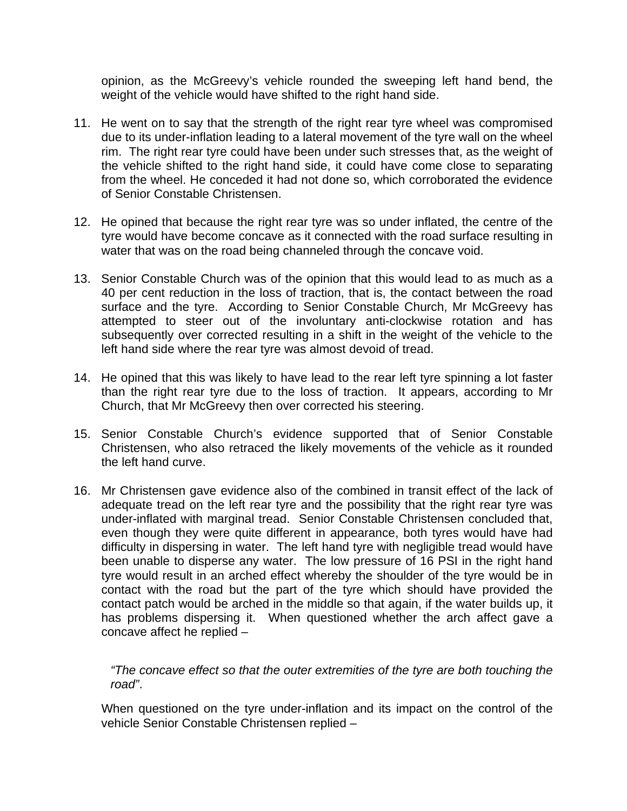opinion, as the McGreevy's vehicle rounded the sweeping left hand bend, the weight of the vehicle would have shifted to the right hand side.

- 11. He went on to say that the strength of the right rear tyre wheel was compromised due to its under-inflation leading to a lateral movement of the tyre wall on the wheel rim. The right rear tyre could have been under such stresses that, as the weight of the vehicle shifted to the right hand side, it could have come close to separating from the wheel. He conceded it had not done so, which corroborated the evidence of Senior Constable Christensen.
- 12. He opined that because the right rear tyre was so under inflated, the centre of the tyre would have become concave as it connected with the road surface resulting in water that was on the road being channeled through the concave void.
- 13. Senior Constable Church was of the opinion that this would lead to as much as a 40 per cent reduction in the loss of traction, that is, the contact between the road surface and the tyre. According to Senior Constable Church, Mr McGreevy has attempted to steer out of the involuntary anti-clockwise rotation and has subsequently over corrected resulting in a shift in the weight of the vehicle to the left hand side where the rear tyre was almost devoid of tread.
- 14. He opined that this was likely to have lead to the rear left tyre spinning a lot faster than the right rear tyre due to the loss of traction. It appears, according to Mr Church, that Mr McGreevy then over corrected his steering.
- 15. Senior Constable Church's evidence supported that of Senior Constable Christensen, who also retraced the likely movements of the vehicle as it rounded the left hand curve.
- 16. Mr Christensen gave evidence also of the combined in transit effect of the lack of adequate tread on the left rear tyre and the possibility that the right rear tyre was under-inflated with marginal tread. Senior Constable Christensen concluded that, even though they were quite different in appearance, both tyres would have had difficulty in dispersing in water. The left hand tyre with negligible tread would have been unable to disperse any water. The low pressure of 16 PSI in the right hand tyre would result in an arched effect whereby the shoulder of the tyre would be in contact with the road but the part of the tyre which should have provided the contact patch would be arched in the middle so that again, if the water builds up, it has problems dispersing it. When questioned whether the arch affect gave a concave affect he replied –

*"The concave effect so that the outer extremities of the tyre are both touching the road"*.

When questioned on the tyre under-inflation and its impact on the control of the vehicle Senior Constable Christensen replied –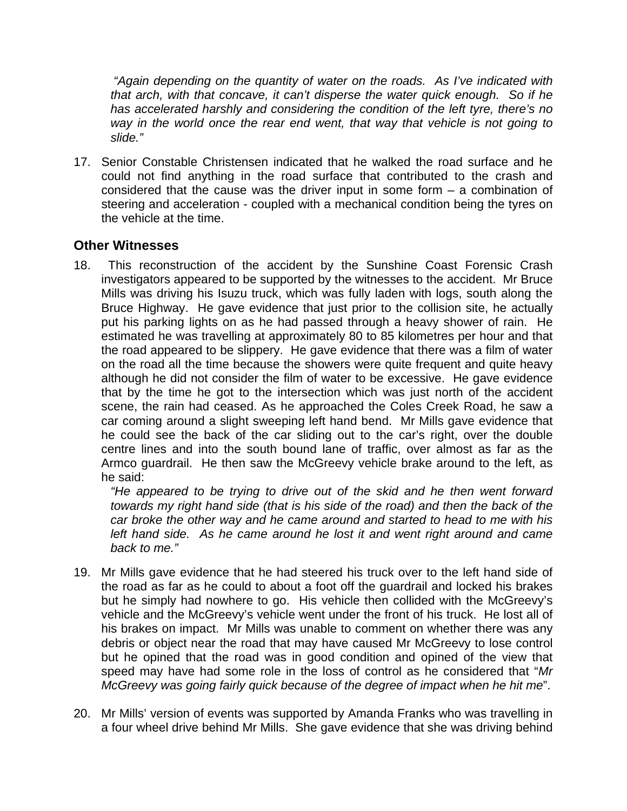*"Again depending on the quantity of water on the roads. As I've indicated with that arch, with that concave, it can't disperse the water quick enough. So if he has accelerated harshly and considering the condition of the left tyre, there's no way in the world once the rear end went, that way that vehicle is not going to slide."*

17. Senior Constable Christensen indicated that he walked the road surface and he could not find anything in the road surface that contributed to the crash and considered that the cause was the driver input in some form  $-$  a combination of steering and acceleration - coupled with a mechanical condition being the tyres on the vehicle at the time.

## **Other Witnesses**

18. This reconstruction of the accident by the Sunshine Coast Forensic Crash investigators appeared to be supported by the witnesses to the accident. Mr Bruce Mills was driving his Isuzu truck, which was fully laden with logs, south along the Bruce Highway. He gave evidence that just prior to the collision site, he actually put his parking lights on as he had passed through a heavy shower of rain. He estimated he was travelling at approximately 80 to 85 kilometres per hour and that the road appeared to be slippery. He gave evidence that there was a film of water on the road all the time because the showers were quite frequent and quite heavy although he did not consider the film of water to be excessive. He gave evidence that by the time he got to the intersection which was just north of the accident scene, the rain had ceased. As he approached the Coles Creek Road, he saw a car coming around a slight sweeping left hand bend. Mr Mills gave evidence that he could see the back of the car sliding out to the car's right, over the double centre lines and into the south bound lane of traffic, over almost as far as the Armco guardrail. He then saw the McGreevy vehicle brake around to the left, as he said:

*"He appeared to be trying to drive out of the skid and he then went forward towards my right hand side (that is his side of the road) and then the back of the car broke the other way and he came around and started to head to me with his left hand side. As he came around he lost it and went right around and came back to me."*

- 19. Mr Mills gave evidence that he had steered his truck over to the left hand side of the road as far as he could to about a foot off the guardrail and locked his brakes but he simply had nowhere to go. His vehicle then collided with the McGreevy's vehicle and the McGreevy's vehicle went under the front of his truck. He lost all of his brakes on impact. Mr Mills was unable to comment on whether there was any debris or object near the road that may have caused Mr McGreevy to lose control but he opined that the road was in good condition and opined of the view that speed may have had some role in the loss of control as he considered that "*Mr McGreevy was going fairly quick because of the degree of impact when he hit me*".
- 20. Mr Mills' version of events was supported by Amanda Franks who was travelling in a four wheel drive behind Mr Mills. She gave evidence that she was driving behind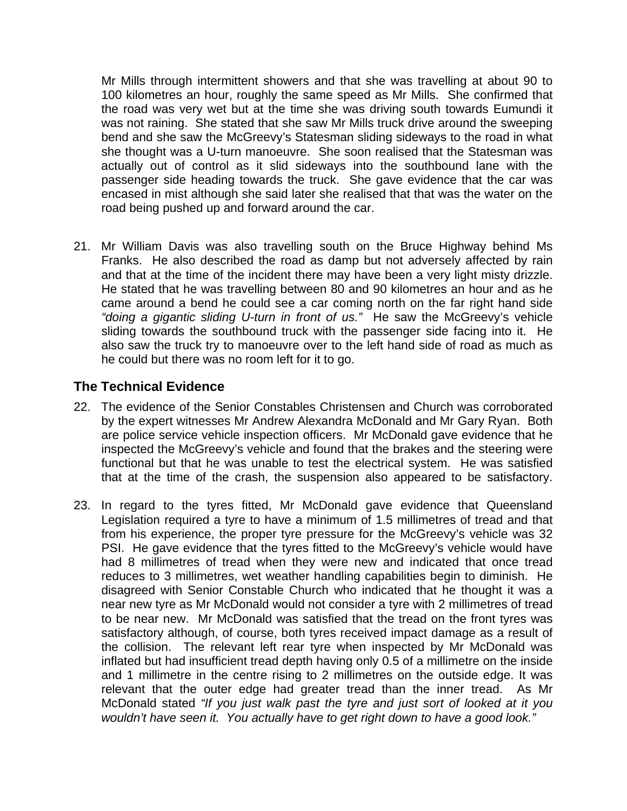Mr Mills through intermittent showers and that she was travelling at about 90 to 100 kilometres an hour, roughly the same speed as Mr Mills. She confirmed that the road was very wet but at the time she was driving south towards Eumundi it was not raining. She stated that she saw Mr Mills truck drive around the sweeping bend and she saw the McGreevy's Statesman sliding sideways to the road in what she thought was a U-turn manoeuvre. She soon realised that the Statesman was actually out of control as it slid sideways into the southbound lane with the passenger side heading towards the truck. She gave evidence that the car was encased in mist although she said later she realised that that was the water on the road being pushed up and forward around the car.

21. Mr William Davis was also travelling south on the Bruce Highway behind Ms Franks. He also described the road as damp but not adversely affected by rain and that at the time of the incident there may have been a very light misty drizzle. He stated that he was travelling between 80 and 90 kilometres an hour and as he came around a bend he could see a car coming north on the far right hand side *"doing a gigantic sliding U-turn in front of us."* He saw the McGreevy's vehicle sliding towards the southbound truck with the passenger side facing into it. He also saw the truck try to manoeuvre over to the left hand side of road as much as he could but there was no room left for it to go.

## **The Technical Evidence**

- 22. The evidence of the Senior Constables Christensen and Church was corroborated by the expert witnesses Mr Andrew Alexandra McDonald and Mr Gary Ryan. Both are police service vehicle inspection officers. Mr McDonald gave evidence that he inspected the McGreevy's vehicle and found that the brakes and the steering were functional but that he was unable to test the electrical system. He was satisfied that at the time of the crash, the suspension also appeared to be satisfactory.
- 23. In regard to the tyres fitted, Mr McDonald gave evidence that Queensland Legislation required a tyre to have a minimum of 1.5 millimetres of tread and that from his experience, the proper tyre pressure for the McGreevy's vehicle was 32 PSI. He gave evidence that the tyres fitted to the McGreevy's vehicle would have had 8 millimetres of tread when they were new and indicated that once tread reduces to 3 millimetres, wet weather handling capabilities begin to diminish. He disagreed with Senior Constable Church who indicated that he thought it was a near new tyre as Mr McDonald would not consider a tyre with 2 millimetres of tread to be near new. Mr McDonald was satisfied that the tread on the front tyres was satisfactory although, of course, both tyres received impact damage as a result of the collision. The relevant left rear tyre when inspected by Mr McDonald was inflated but had insufficient tread depth having only 0.5 of a millimetre on the inside and 1 millimetre in the centre rising to 2 millimetres on the outside edge. It was relevant that the outer edge had greater tread than the inner tread. As Mr McDonald stated *"If you just walk past the tyre and just sort of looked at it you wouldn't have seen it. You actually have to get right down to have a good look."*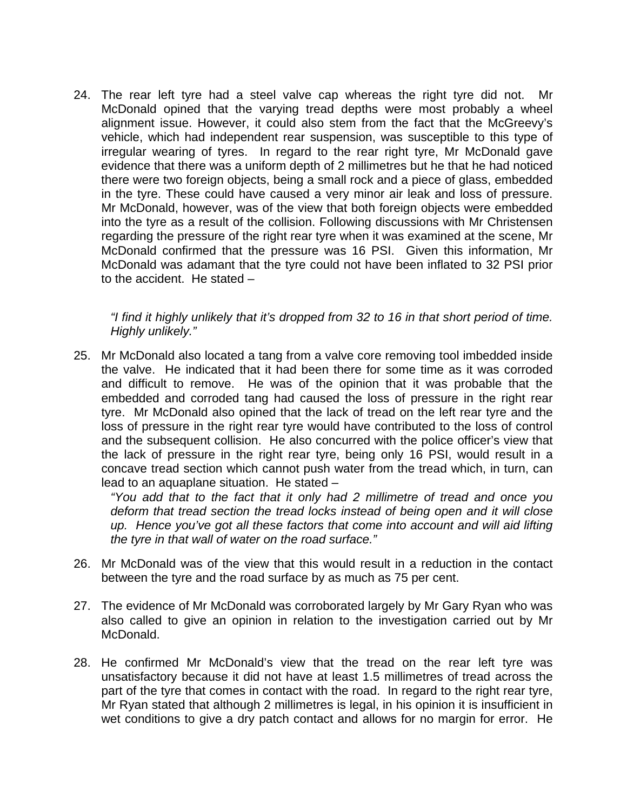24. The rear left tyre had a steel valve cap whereas the right tyre did not. Mr McDonald opined that the varying tread depths were most probably a wheel alignment issue. However, it could also stem from the fact that the McGreevy's vehicle, which had independent rear suspension, was susceptible to this type of irregular wearing of tyres. In regard to the rear right tyre, Mr McDonald gave evidence that there was a uniform depth of 2 millimetres but he that he had noticed there were two foreign objects, being a small rock and a piece of glass, embedded in the tyre. These could have caused a very minor air leak and loss of pressure. Mr McDonald, however, was of the view that both foreign objects were embedded into the tyre as a result of the collision. Following discussions with Mr Christensen regarding the pressure of the right rear tyre when it was examined at the scene, Mr McDonald confirmed that the pressure was 16 PSI. Given this information, Mr McDonald was adamant that the tyre could not have been inflated to 32 PSI prior to the accident. He stated –

*"I find it highly unlikely that it's dropped from 32 to 16 in that short period of time. Highly unlikely."* 

25. Mr McDonald also located a tang from a valve core removing tool imbedded inside the valve. He indicated that it had been there for some time as it was corroded and difficult to remove. He was of the opinion that it was probable that the embedded and corroded tang had caused the loss of pressure in the right rear tyre. Mr McDonald also opined that the lack of tread on the left rear tyre and the loss of pressure in the right rear tyre would have contributed to the loss of control and the subsequent collision. He also concurred with the police officer's view that the lack of pressure in the right rear tyre, being only 16 PSI, would result in a concave tread section which cannot push water from the tread which, in turn, can lead to an aquaplane situation. He stated –

*"You add that to the fact that it only had 2 millimetre of tread and once you deform that tread section the tread locks instead of being open and it will close up. Hence you've got all these factors that come into account and will aid lifting the tyre in that wall of water on the road surface."* 

- 26. Mr McDonald was of the view that this would result in a reduction in the contact between the tyre and the road surface by as much as 75 per cent.
- 27. The evidence of Mr McDonald was corroborated largely by Mr Gary Ryan who was also called to give an opinion in relation to the investigation carried out by Mr McDonald.
- 28. He confirmed Mr McDonald's view that the tread on the rear left tyre was unsatisfactory because it did not have at least 1.5 millimetres of tread across the part of the tyre that comes in contact with the road. In regard to the right rear tyre, Mr Ryan stated that although 2 millimetres is legal, in his opinion it is insufficient in wet conditions to give a dry patch contact and allows for no margin for error. He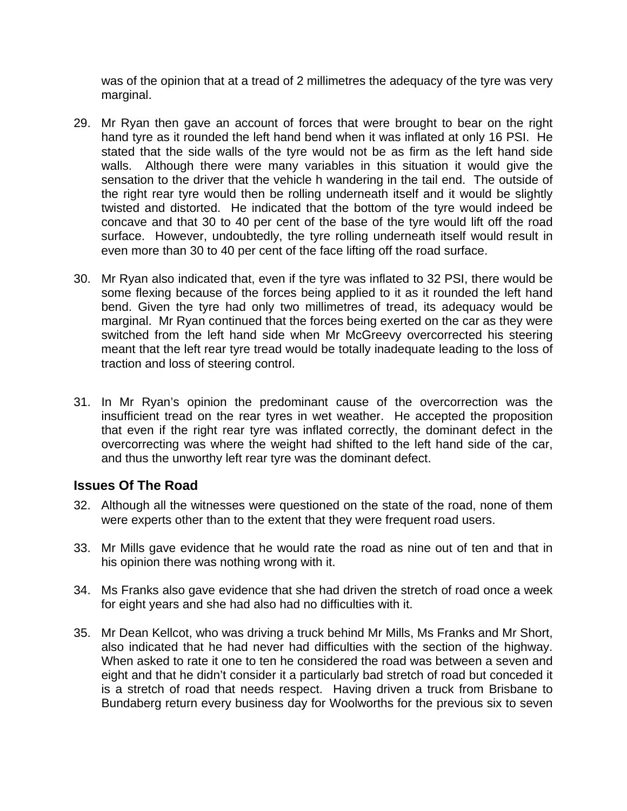was of the opinion that at a tread of 2 millimetres the adequacy of the tyre was very marginal.

- 29. Mr Ryan then gave an account of forces that were brought to bear on the right hand tyre as it rounded the left hand bend when it was inflated at only 16 PSI. He stated that the side walls of the tyre would not be as firm as the left hand side walls. Although there were many variables in this situation it would give the sensation to the driver that the vehicle h wandering in the tail end. The outside of the right rear tyre would then be rolling underneath itself and it would be slightly twisted and distorted. He indicated that the bottom of the tyre would indeed be concave and that 30 to 40 per cent of the base of the tyre would lift off the road surface. However, undoubtedly, the tyre rolling underneath itself would result in even more than 30 to 40 per cent of the face lifting off the road surface.
- 30. Mr Ryan also indicated that, even if the tyre was inflated to 32 PSI, there would be some flexing because of the forces being applied to it as it rounded the left hand bend. Given the tyre had only two millimetres of tread, its adequacy would be marginal. Mr Ryan continued that the forces being exerted on the car as they were switched from the left hand side when Mr McGreevy overcorrected his steering meant that the left rear tyre tread would be totally inadequate leading to the loss of traction and loss of steering control.
- 31. In Mr Ryan's opinion the predominant cause of the overcorrection was the insufficient tread on the rear tyres in wet weather. He accepted the proposition that even if the right rear tyre was inflated correctly, the dominant defect in the overcorrecting was where the weight had shifted to the left hand side of the car, and thus the unworthy left rear tyre was the dominant defect.

## **Issues Of The Road**

- 32. Although all the witnesses were questioned on the state of the road, none of them were experts other than to the extent that they were frequent road users.
- 33. Mr Mills gave evidence that he would rate the road as nine out of ten and that in his opinion there was nothing wrong with it.
- 34. Ms Franks also gave evidence that she had driven the stretch of road once a week for eight years and she had also had no difficulties with it.
- 35. Mr Dean Kellcot, who was driving a truck behind Mr Mills, Ms Franks and Mr Short, also indicated that he had never had difficulties with the section of the highway. When asked to rate it one to ten he considered the road was between a seven and eight and that he didn't consider it a particularly bad stretch of road but conceded it is a stretch of road that needs respect. Having driven a truck from Brisbane to Bundaberg return every business day for Woolworths for the previous six to seven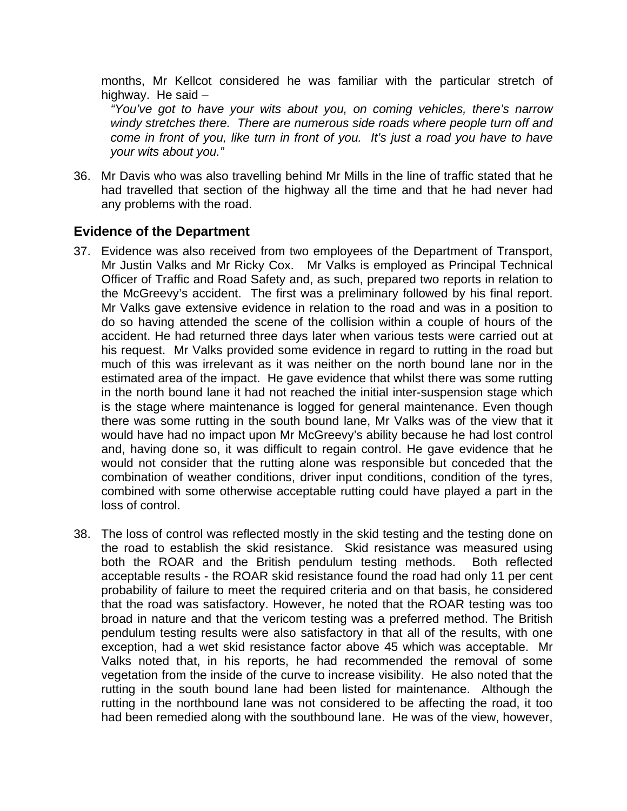months, Mr Kellcot considered he was familiar with the particular stretch of highway. He said –

*"You've got to have your wits about you, on coming vehicles, there's narrow windy stretches there. There are numerous side roads where people turn off and come in front of you, like turn in front of you. It's just a road you have to have your wits about you."* 

36. Mr Davis who was also travelling behind Mr Mills in the line of traffic stated that he had travelled that section of the highway all the time and that he had never had any problems with the road.

## **Evidence of the Department**

- 37. Evidence was also received from two employees of the Department of Transport, Mr Justin Valks and Mr Ricky Cox.Mr Valks is employed as Principal Technical Officer of Traffic and Road Safety and, as such, prepared two reports in relation to the McGreevy's accident. The first was a preliminary followed by his final report. Mr Valks gave extensive evidence in relation to the road and was in a position to do so having attended the scene of the collision within a couple of hours of the accident. He had returned three days later when various tests were carried out at his request.Mr Valks provided some evidence in regard to rutting in the road but much of this was irrelevant as it was neither on the north bound lane nor in the estimated area of the impact. He gave evidence that whilst there was some rutting in the north bound lane it had not reached the initial inter-suspension stage which is the stage where maintenance is logged for general maintenance. Even though there was some rutting in the south bound lane, Mr Valks was of the view that it would have had no impact upon Mr McGreevy's ability because he had lost control and, having done so, it was difficult to regain control. He gave evidence that he would not consider that the rutting alone was responsible but conceded that the combination of weather conditions, driver input conditions, condition of the tyres, combined with some otherwise acceptable rutting could have played a part in the loss of control.
- 38. The loss of control was reflected mostly in the skid testing and the testing done on the road to establish the skid resistance. Skid resistance was measured using both the ROAR and the British pendulum testing methods. Both reflected acceptable results - the ROAR skid resistance found the road had only 11 per cent probability of failure to meet the required criteria and on that basis, he considered that the road was satisfactory. However, he noted that the ROAR testing was too broad in nature and that the vericom testing was a preferred method. The British pendulum testing results were also satisfactory in that all of the results, with one exception, had a wet skid resistance factor above 45 which was acceptable. Mr Valks noted that, in his reports, he had recommended the removal of some vegetation from the inside of the curve to increase visibility. He also noted that the rutting in the south bound lane had been listed for maintenance. Although the rutting in the northbound lane was not considered to be affecting the road, it too had been remedied along with the southbound lane. He was of the view, however,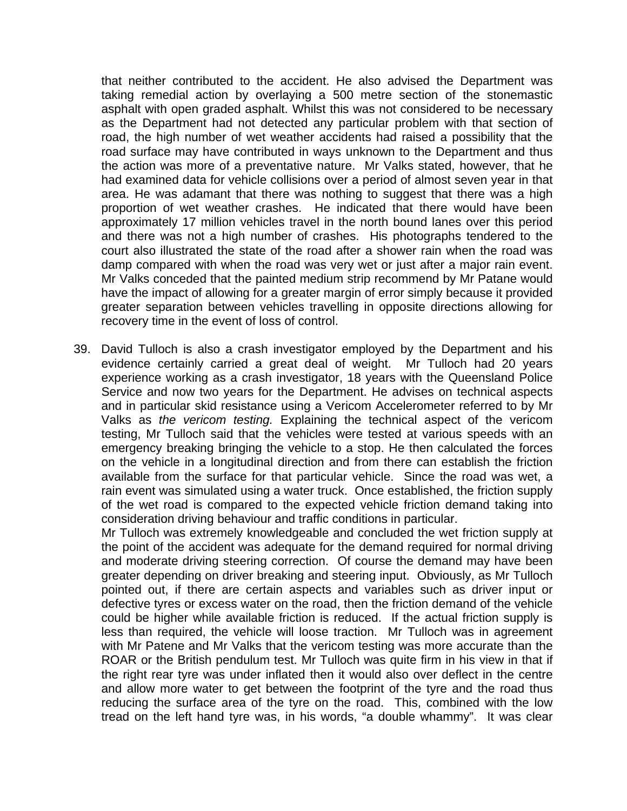that neither contributed to the accident. He also advised the Department was taking remedial action by overlaying a 500 metre section of the stonemastic asphalt with open graded asphalt. Whilst this was not considered to be necessary as the Department had not detected any particular problem with that section of road, the high number of wet weather accidents had raised a possibility that the road surface may have contributed in ways unknown to the Department and thus the action was more of a preventative nature. Mr Valks stated, however, that he had examined data for vehicle collisions over a period of almost seven year in that area. He was adamant that there was nothing to suggest that there was a high proportion of wet weather crashes. He indicated that there would have been approximately 17 million vehicles travel in the north bound lanes over this period and there was not a high number of crashes. His photographs tendered to the court also illustrated the state of the road after a shower rain when the road was damp compared with when the road was very wet or just after a major rain event. Mr Valks conceded that the painted medium strip recommend by Mr Patane would have the impact of allowing for a greater margin of error simply because it provided greater separation between vehicles travelling in opposite directions allowing for recovery time in the event of loss of control.

39. David Tulloch is also a crash investigator employed by the Department and his evidence certainly carried a great deal of weight. Mr Tulloch had 20 years experience working as a crash investigator, 18 years with the Queensland Police Service and now two years for the Department. He advises on technical aspects and in particular skid resistance using a Vericom Accelerometer referred to by Mr Valks as *the vericom testing.* Explaining the technical aspect of the vericom testing, Mr Tulloch said that the vehicles were tested at various speeds with an emergency breaking bringing the vehicle to a stop. He then calculated the forces on the vehicle in a longitudinal direction and from there can establish the friction available from the surface for that particular vehicle. Since the road was wet, a rain event was simulated using a water truck. Once established, the friction supply of the wet road is compared to the expected vehicle friction demand taking into consideration driving behaviour and traffic conditions in particular.

Mr Tulloch was extremely knowledgeable and concluded the wet friction supply at the point of the accident was adequate for the demand required for normal driving and moderate driving steering correction. Of course the demand may have been greater depending on driver breaking and steering input. Obviously, as Mr Tulloch pointed out, if there are certain aspects and variables such as driver input or defective tyres or excess water on the road, then the friction demand of the vehicle could be higher while available friction is reduced. If the actual friction supply is less than required, the vehicle will loose traction. Mr Tulloch was in agreement with Mr Patene and Mr Valks that the vericom testing was more accurate than the ROAR or the British pendulum test. Mr Tulloch was quite firm in his view in that if the right rear tyre was under inflated then it would also over deflect in the centre and allow more water to get between the footprint of the tyre and the road thus reducing the surface area of the tyre on the road. This, combined with the low tread on the left hand tyre was, in his words, "a double whammy". It was clear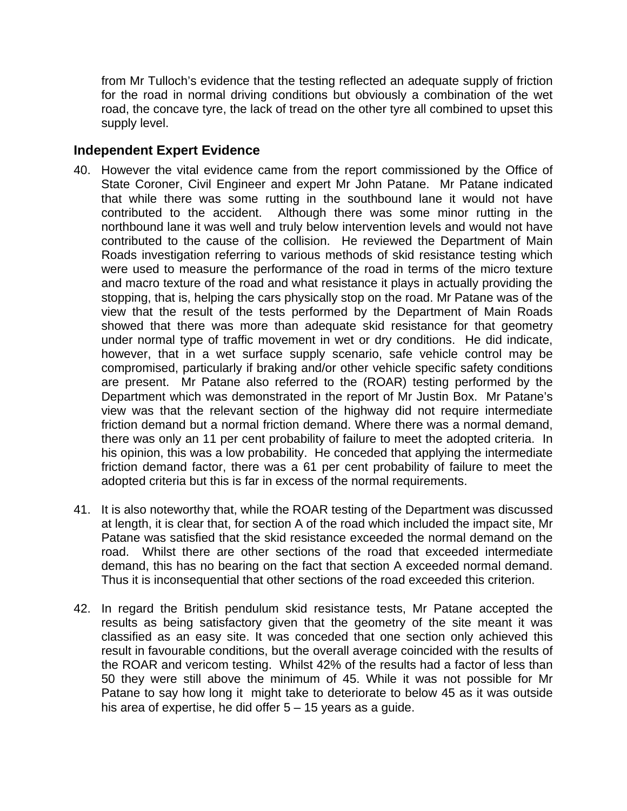from Mr Tulloch's evidence that the testing reflected an adequate supply of friction for the road in normal driving conditions but obviously a combination of the wet road, the concave tyre, the lack of tread on the other tyre all combined to upset this supply level.

#### **Independent Expert Evidence**

- 40. However the vital evidence came from the report commissioned by the Office of State Coroner, Civil Engineer and expert Mr John Patane. Mr Patane indicated that while there was some rutting in the southbound lane it would not have contributed to the accident. Although there was some minor rutting in the northbound lane it was well and truly below intervention levels and would not have contributed to the cause of the collision. He reviewed the Department of Main Roads investigation referring to various methods of skid resistance testing which were used to measure the performance of the road in terms of the micro texture and macro texture of the road and what resistance it plays in actually providing the stopping, that is, helping the cars physically stop on the road. Mr Patane was of the view that the result of the tests performed by the Department of Main Roads showed that there was more than adequate skid resistance for that geometry under normal type of traffic movement in wet or dry conditions. He did indicate, however, that in a wet surface supply scenario, safe vehicle control may be compromised, particularly if braking and/or other vehicle specific safety conditions are present. Mr Patane also referred to the (ROAR) testing performed by the Department which was demonstrated in the report of Mr Justin Box. Mr Patane's view was that the relevant section of the highway did not require intermediate friction demand but a normal friction demand. Where there was a normal demand, there was only an 11 per cent probability of failure to meet the adopted criteria. In his opinion, this was a low probability. He conceded that applying the intermediate friction demand factor, there was a 61 per cent probability of failure to meet the adopted criteria but this is far in excess of the normal requirements.
- 41. It is also noteworthy that, while the ROAR testing of the Department was discussed at length, it is clear that, for section A of the road which included the impact site, Mr Patane was satisfied that the skid resistance exceeded the normal demand on the road. Whilst there are other sections of the road that exceeded intermediate demand, this has no bearing on the fact that section A exceeded normal demand. Thus it is inconsequential that other sections of the road exceeded this criterion.
- 42. In regard the British pendulum skid resistance tests, Mr Patane accepted the results as being satisfactory given that the geometry of the site meant it was classified as an easy site. It was conceded that one section only achieved this result in favourable conditions, but the overall average coincided with the results of the ROAR and vericom testing. Whilst 42% of the results had a factor of less than 50 they were still above the minimum of 45. While it was not possible for Mr Patane to say how long it might take to deteriorate to below 45 as it was outside his area of expertise, he did offer  $5 - 15$  years as a guide.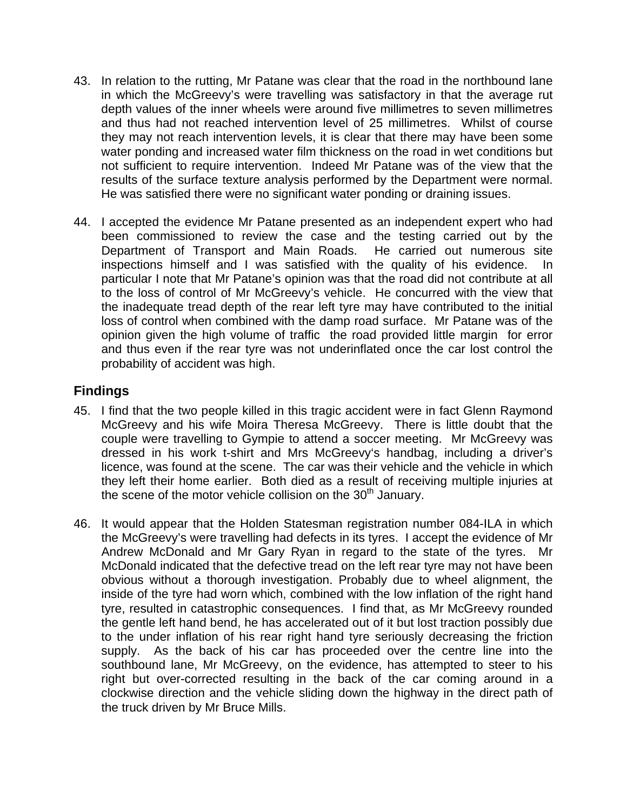- 43. In relation to the rutting, Mr Patane was clear that the road in the northbound lane in which the McGreevy's were travelling was satisfactory in that the average rut depth values of the inner wheels were around five millimetres to seven millimetres and thus had not reached intervention level of 25 millimetres. Whilst of course they may not reach intervention levels, it is clear that there may have been some water ponding and increased water film thickness on the road in wet conditions but not sufficient to require intervention. Indeed Mr Patane was of the view that the results of the surface texture analysis performed by the Department were normal. He was satisfied there were no significant water ponding or draining issues.
- 44. I accepted the evidence Mr Patane presented as an independent expert who had been commissioned to review the case and the testing carried out by the Department of Transport and Main Roads. He carried out numerous site inspections himself and I was satisfied with the quality of his evidence. In particular I note that Mr Patane's opinion was that the road did not contribute at all to the loss of control of Mr McGreevy's vehicle. He concurred with the view that the inadequate tread depth of the rear left tyre may have contributed to the initial loss of control when combined with the damp road surface. Mr Patane was of the opinion given the high volume of traffic the road provided little margin for error and thus even if the rear tyre was not underinflated once the car lost control the probability of accident was high.

## **Findings**

- 45. I find that the two people killed in this tragic accident were in fact Glenn Raymond McGreevy and his wife Moira Theresa McGreevy. There is little doubt that the couple were travelling to Gympie to attend a soccer meeting. Mr McGreevy was dressed in his work t-shirt and Mrs McGreevy's handbag, including a driver's licence, was found at the scene. The car was their vehicle and the vehicle in which they left their home earlier. Both died as a result of receiving multiple injuries at the scene of the motor vehicle collision on the  $30<sup>th</sup>$  January.
- 46. It would appear that the Holden Statesman registration number 084-ILA in which the McGreevy's were travelling had defects in its tyres. I accept the evidence of Mr Andrew McDonald and Mr Gary Ryan in regard to the state of the tyres. Mr McDonald indicated that the defective tread on the left rear tyre may not have been obvious without a thorough investigation. Probably due to wheel alignment, the inside of the tyre had worn which, combined with the low inflation of the right hand tyre, resulted in catastrophic consequences. I find that, as Mr McGreevy rounded the gentle left hand bend, he has accelerated out of it but lost traction possibly due to the under inflation of his rear right hand tyre seriously decreasing the friction supply. As the back of his car has proceeded over the centre line into the southbound lane, Mr McGreevy, on the evidence, has attempted to steer to his right but over-corrected resulting in the back of the car coming around in a clockwise direction and the vehicle sliding down the highway in the direct path of the truck driven by Mr Bruce Mills.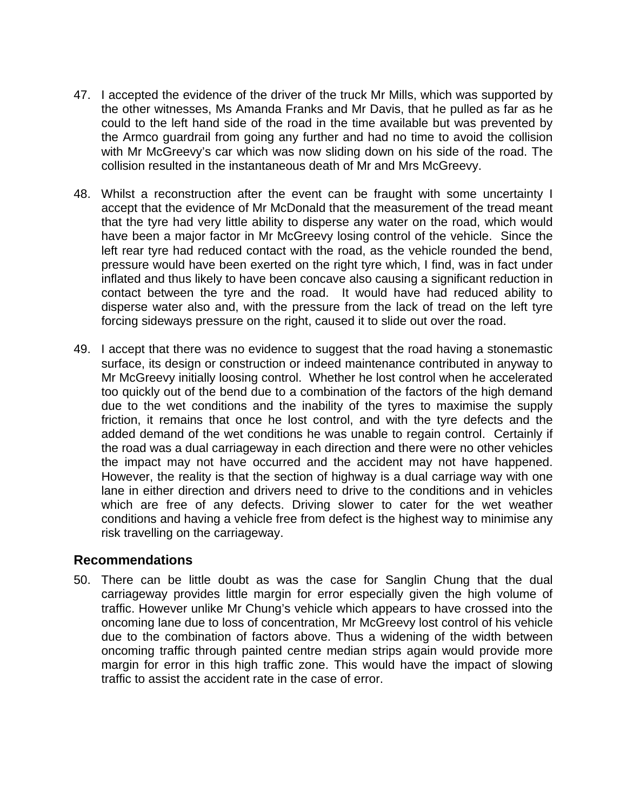- 47. I accepted the evidence of the driver of the truck Mr Mills, which was supported by the other witnesses, Ms Amanda Franks and Mr Davis, that he pulled as far as he could to the left hand side of the road in the time available but was prevented by the Armco guardrail from going any further and had no time to avoid the collision with Mr McGreevy's car which was now sliding down on his side of the road. The collision resulted in the instantaneous death of Mr and Mrs McGreevy.
- 48. Whilst a reconstruction after the event can be fraught with some uncertainty I accept that the evidence of Mr McDonald that the measurement of the tread meant that the tyre had very little ability to disperse any water on the road, which would have been a major factor in Mr McGreevy losing control of the vehicle. Since the left rear tyre had reduced contact with the road, as the vehicle rounded the bend, pressure would have been exerted on the right tyre which, I find, was in fact under inflated and thus likely to have been concave also causing a significant reduction in contact between the tyre and the road. It would have had reduced ability to disperse water also and, with the pressure from the lack of tread on the left tyre forcing sideways pressure on the right, caused it to slide out over the road.
- 49. I accept that there was no evidence to suggest that the road having a stonemastic surface, its design or construction or indeed maintenance contributed in anyway to Mr McGreevy initially loosing control. Whether he lost control when he accelerated too quickly out of the bend due to a combination of the factors of the high demand due to the wet conditions and the inability of the tyres to maximise the supply friction, it remains that once he lost control, and with the tyre defects and the added demand of the wet conditions he was unable to regain control. Certainly if the road was a dual carriageway in each direction and there were no other vehicles the impact may not have occurred and the accident may not have happened. However, the reality is that the section of highway is a dual carriage way with one lane in either direction and drivers need to drive to the conditions and in vehicles which are free of any defects. Driving slower to cater for the wet weather conditions and having a vehicle free from defect is the highest way to minimise any risk travelling on the carriageway.

#### **Recommendations**

50. There can be little doubt as was the case for Sanglin Chung that the dual carriageway provides little margin for error especially given the high volume of traffic. However unlike Mr Chung's vehicle which appears to have crossed into the oncoming lane due to loss of concentration, Mr McGreevy lost control of his vehicle due to the combination of factors above. Thus a widening of the width between oncoming traffic through painted centre median strips again would provide more margin for error in this high traffic zone. This would have the impact of slowing traffic to assist the accident rate in the case of error.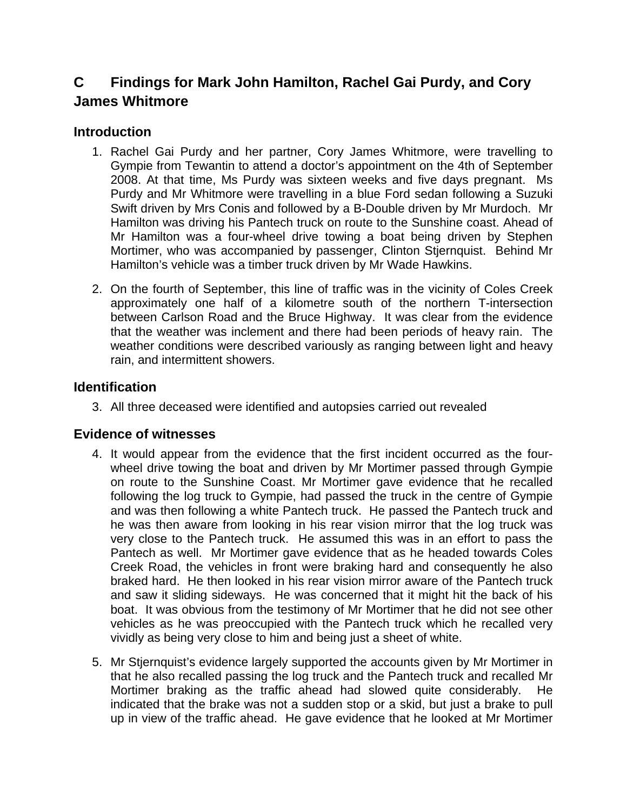# **C Findings for Mark John Hamilton, Rachel Gai Purdy, and Cory James Whitmore**

## **Introduction**

- 1. Rachel Gai Purdy and her partner, Cory James Whitmore, were travelling to Gympie from Tewantin to attend a doctor's appointment on the 4th of September 2008. At that time, Ms Purdy was sixteen weeks and five days pregnant. Ms Purdy and Mr Whitmore were travelling in a blue Ford sedan following a Suzuki Swift driven by Mrs Conis and followed by a B-Double driven by Mr Murdoch. Mr Hamilton was driving his Pantech truck on route to the Sunshine coast. Ahead of Mr Hamilton was a four-wheel drive towing a boat being driven by Stephen Mortimer, who was accompanied by passenger, Clinton Stjernquist. Behind Mr Hamilton's vehicle was a timber truck driven by Mr Wade Hawkins.
- 2. On the fourth of September, this line of traffic was in the vicinity of Coles Creek approximately one half of a kilometre south of the northern T-intersection between Carlson Road and the Bruce Highway. It was clear from the evidence that the weather was inclement and there had been periods of heavy rain. The weather conditions were described variously as ranging between light and heavy rain, and intermittent showers.

## **Identification**

3. All three deceased were identified and autopsies carried out revealed

## **Evidence of witnesses**

- 4. It would appear from the evidence that the first incident occurred as the fourwheel drive towing the boat and driven by Mr Mortimer passed through Gympie on route to the Sunshine Coast. Mr Mortimer gave evidence that he recalled following the log truck to Gympie, had passed the truck in the centre of Gympie and was then following a white Pantech truck. He passed the Pantech truck and he was then aware from looking in his rear vision mirror that the log truck was very close to the Pantech truck. He assumed this was in an effort to pass the Pantech as well. Mr Mortimer gave evidence that as he headed towards Coles Creek Road, the vehicles in front were braking hard and consequently he also braked hard. He then looked in his rear vision mirror aware of the Pantech truck and saw it sliding sideways. He was concerned that it might hit the back of his boat. It was obvious from the testimony of Mr Mortimer that he did not see other vehicles as he was preoccupied with the Pantech truck which he recalled very vividly as being very close to him and being just a sheet of white.
- 5. Mr Stjernquist's evidence largely supported the accounts given by Mr Mortimer in that he also recalled passing the log truck and the Pantech truck and recalled Mr Mortimer braking as the traffic ahead had slowed quite considerably. He indicated that the brake was not a sudden stop or a skid, but just a brake to pull up in view of the traffic ahead. He gave evidence that he looked at Mr Mortimer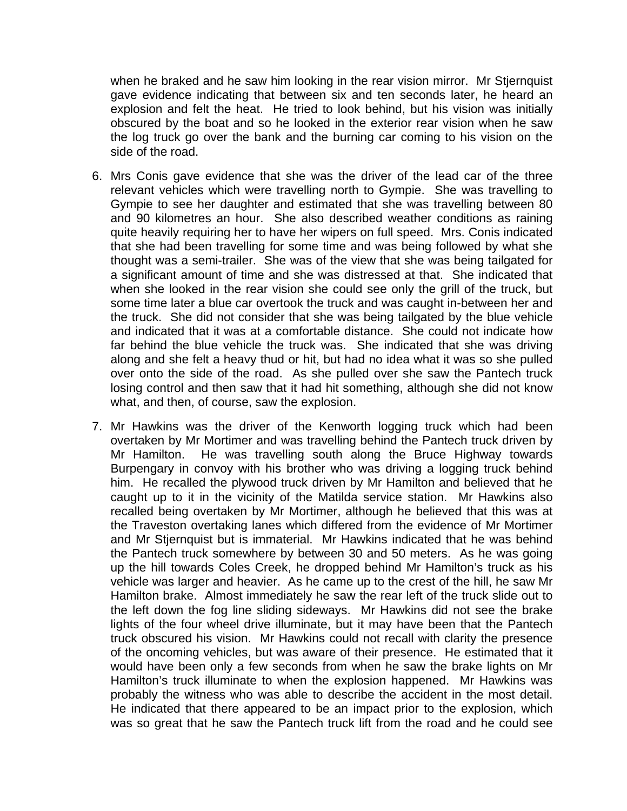when he braked and he saw him looking in the rear vision mirror. Mr Stjernquist gave evidence indicating that between six and ten seconds later, he heard an explosion and felt the heat. He tried to look behind, but his vision was initially obscured by the boat and so he looked in the exterior rear vision when he saw the log truck go over the bank and the burning car coming to his vision on the side of the road.

- 6. Mrs Conis gave evidence that she was the driver of the lead car of the three relevant vehicles which were travelling north to Gympie. She was travelling to Gympie to see her daughter and estimated that she was travelling between 80 and 90 kilometres an hour. She also described weather conditions as raining quite heavily requiring her to have her wipers on full speed. Mrs. Conis indicated that she had been travelling for some time and was being followed by what she thought was a semi-trailer. She was of the view that she was being tailgated for a significant amount of time and she was distressed at that. She indicated that when she looked in the rear vision she could see only the grill of the truck, but some time later a blue car overtook the truck and was caught in-between her and the truck. She did not consider that she was being tailgated by the blue vehicle and indicated that it was at a comfortable distance. She could not indicate how far behind the blue vehicle the truck was. She indicated that she was driving along and she felt a heavy thud or hit, but had no idea what it was so she pulled over onto the side of the road. As she pulled over she saw the Pantech truck losing control and then saw that it had hit something, although she did not know what, and then, of course, saw the explosion.
- 7. Mr Hawkins was the driver of the Kenworth logging truck which had been overtaken by Mr Mortimer and was travelling behind the Pantech truck driven by Mr Hamilton. He was travelling south along the Bruce Highway towards Burpengary in convoy with his brother who was driving a logging truck behind him. He recalled the plywood truck driven by Mr Hamilton and believed that he caught up to it in the vicinity of the Matilda service station. Mr Hawkins also recalled being overtaken by Mr Mortimer, although he believed that this was at the Traveston overtaking lanes which differed from the evidence of Mr Mortimer and Mr Stjernquist but is immaterial. Mr Hawkins indicated that he was behind the Pantech truck somewhere by between 30 and 50 meters. As he was going up the hill towards Coles Creek, he dropped behind Mr Hamilton's truck as his vehicle was larger and heavier. As he came up to the crest of the hill, he saw Mr Hamilton brake. Almost immediately he saw the rear left of the truck slide out to the left down the fog line sliding sideways. Mr Hawkins did not see the brake lights of the four wheel drive illuminate, but it may have been that the Pantech truck obscured his vision. Mr Hawkins could not recall with clarity the presence of the oncoming vehicles, but was aware of their presence. He estimated that it would have been only a few seconds from when he saw the brake lights on Mr Hamilton's truck illuminate to when the explosion happened. Mr Hawkins was probably the witness who was able to describe the accident in the most detail. He indicated that there appeared to be an impact prior to the explosion, which was so great that he saw the Pantech truck lift from the road and he could see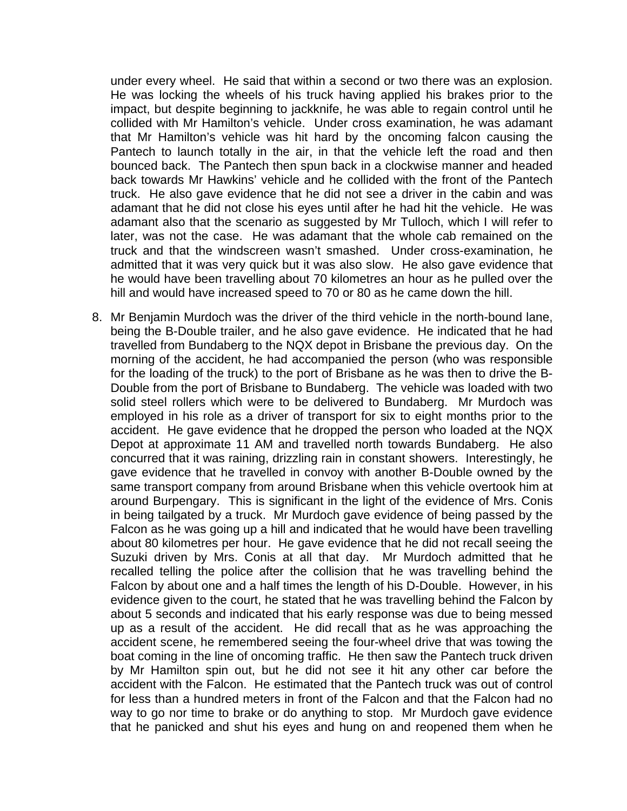under every wheel. He said that within a second or two there was an explosion. He was locking the wheels of his truck having applied his brakes prior to the impact, but despite beginning to jackknife, he was able to regain control until he collided with Mr Hamilton's vehicle. Under cross examination, he was adamant that Mr Hamilton's vehicle was hit hard by the oncoming falcon causing the Pantech to launch totally in the air, in that the vehicle left the road and then bounced back. The Pantech then spun back in a clockwise manner and headed back towards Mr Hawkins' vehicle and he collided with the front of the Pantech truck. He also gave evidence that he did not see a driver in the cabin and was adamant that he did not close his eyes until after he had hit the vehicle. He was adamant also that the scenario as suggested by Mr Tulloch, which I will refer to later, was not the case. He was adamant that the whole cab remained on the truck and that the windscreen wasn't smashed. Under cross-examination, he admitted that it was very quick but it was also slow. He also gave evidence that he would have been travelling about 70 kilometres an hour as he pulled over the hill and would have increased speed to 70 or 80 as he came down the hill.

8. Mr Benjamin Murdoch was the driver of the third vehicle in the north-bound lane, being the B-Double trailer, and he also gave evidence. He indicated that he had travelled from Bundaberg to the NQX depot in Brisbane the previous day. On the morning of the accident, he had accompanied the person (who was responsible for the loading of the truck) to the port of Brisbane as he was then to drive the B-Double from the port of Brisbane to Bundaberg. The vehicle was loaded with two solid steel rollers which were to be delivered to Bundaberg. Mr Murdoch was employed in his role as a driver of transport for six to eight months prior to the accident. He gave evidence that he dropped the person who loaded at the NQX Depot at approximate 11 AM and travelled north towards Bundaberg. He also concurred that it was raining, drizzling rain in constant showers. Interestingly, he gave evidence that he travelled in convoy with another B-Double owned by the same transport company from around Brisbane when this vehicle overtook him at around Burpengary. This is significant in the light of the evidence of Mrs. Conis in being tailgated by a truck. Mr Murdoch gave evidence of being passed by the Falcon as he was going up a hill and indicated that he would have been travelling about 80 kilometres per hour. He gave evidence that he did not recall seeing the Suzuki driven by Mrs. Conis at all that day. Mr Murdoch admitted that he recalled telling the police after the collision that he was travelling behind the Falcon by about one and a half times the length of his D-Double. However, in his evidence given to the court, he stated that he was travelling behind the Falcon by about 5 seconds and indicated that his early response was due to being messed up as a result of the accident. He did recall that as he was approaching the accident scene, he remembered seeing the four-wheel drive that was towing the boat coming in the line of oncoming traffic. He then saw the Pantech truck driven by Mr Hamilton spin out, but he did not see it hit any other car before the accident with the Falcon. He estimated that the Pantech truck was out of control for less than a hundred meters in front of the Falcon and that the Falcon had no way to go nor time to brake or do anything to stop. Mr Murdoch gave evidence that he panicked and shut his eyes and hung on and reopened them when he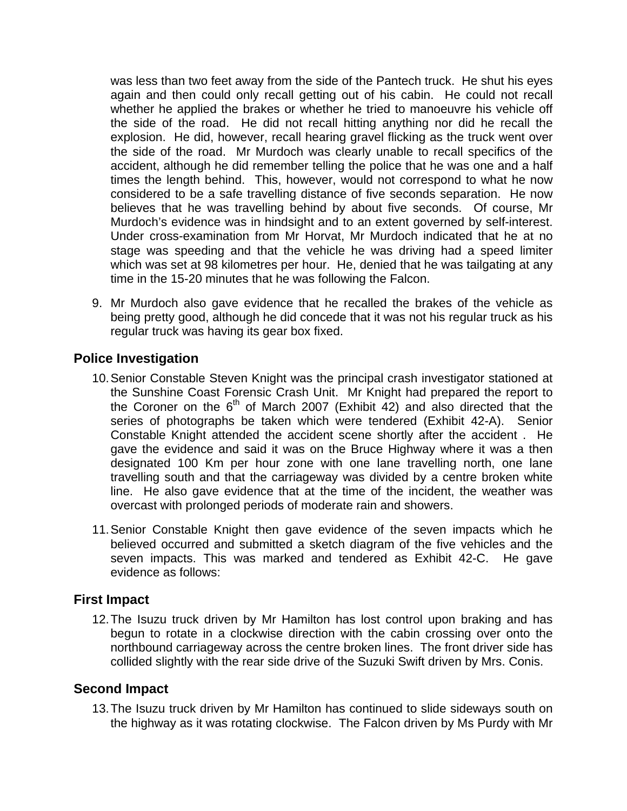was less than two feet away from the side of the Pantech truck. He shut his eyes again and then could only recall getting out of his cabin. He could not recall whether he applied the brakes or whether he tried to manoeuvre his vehicle off the side of the road. He did not recall hitting anything nor did he recall the explosion. He did, however, recall hearing gravel flicking as the truck went over the side of the road. Mr Murdoch was clearly unable to recall specifics of the accident, although he did remember telling the police that he was one and a half times the length behind. This, however, would not correspond to what he now considered to be a safe travelling distance of five seconds separation. He now believes that he was travelling behind by about five seconds. Of course, Mr Murdoch's evidence was in hindsight and to an extent governed by self-interest. Under cross-examination from Mr Horvat, Mr Murdoch indicated that he at no stage was speeding and that the vehicle he was driving had a speed limiter which was set at 98 kilometres per hour. He, denied that he was tailgating at any time in the 15-20 minutes that he was following the Falcon.

9. Mr Murdoch also gave evidence that he recalled the brakes of the vehicle as being pretty good, although he did concede that it was not his regular truck as his regular truck was having its gear box fixed.

## **Police Investigation**

- 10. Senior Constable Steven Knight was the principal crash investigator stationed at the Sunshine Coast Forensic Crash Unit. Mr Knight had prepared the report to the Coroner on the  $6<sup>th</sup>$  of March 2007 (Exhibit 42) and also directed that the series of photographs be taken which were tendered (Exhibit 42-A). Senior Constable Knight attended the accident scene shortly after the accident . He gave the evidence and said it was on the Bruce Highway where it was a then designated 100 Km per hour zone with one lane travelling north, one lane travelling south and that the carriageway was divided by a centre broken white line. He also gave evidence that at the time of the incident, the weather was overcast with prolonged periods of moderate rain and showers.
- 11. Senior Constable Knight then gave evidence of the seven impacts which he believed occurred and submitted a sketch diagram of the five vehicles and the seven impacts. This was marked and tendered as Exhibit 42-C. He gave evidence as follows:

## **First Impact**

12. The Isuzu truck driven by Mr Hamilton has lost control upon braking and has begun to rotate in a clockwise direction with the cabin crossing over onto the northbound carriageway across the centre broken lines. The front driver side has collided slightly with the rear side drive of the Suzuki Swift driven by Mrs. Conis.

## **Second Impact**

13. The Isuzu truck driven by Mr Hamilton has continued to slide sideways south on the highway as it was rotating clockwise. The Falcon driven by Ms Purdy with Mr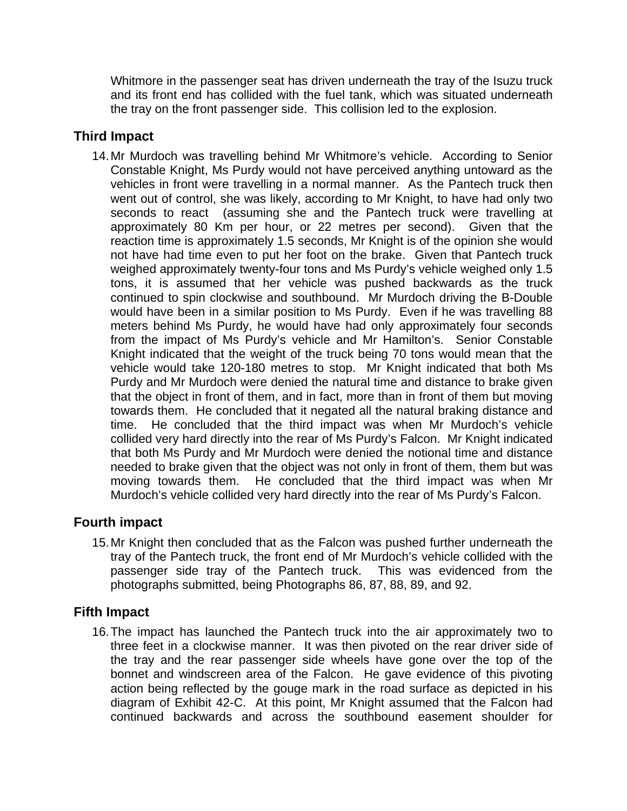Whitmore in the passenger seat has driven underneath the tray of the Isuzu truck and its front end has collided with the fuel tank, which was situated underneath the tray on the front passenger side. This collision led to the explosion.

## **Third Impact**

14. Mr Murdoch was travelling behind Mr Whitmore's vehicle. According to Senior Constable Knight, Ms Purdy would not have perceived anything untoward as the vehicles in front were travelling in a normal manner. As the Pantech truck then went out of control, she was likely, according to Mr Knight, to have had only two seconds to react (assuming she and the Pantech truck were travelling at approximately 80 Km per hour, or 22 metres per second). Given that the reaction time is approximately 1.5 seconds, Mr Knight is of the opinion she would not have had time even to put her foot on the brake. Given that Pantech truck weighed approximately twenty-four tons and Ms Purdy's vehicle weighed only 1.5 tons, it is assumed that her vehicle was pushed backwards as the truck continued to spin clockwise and southbound. Mr Murdoch driving the B-Double would have been in a similar position to Ms Purdy. Even if he was travelling 88 meters behind Ms Purdy, he would have had only approximately four seconds from the impact of Ms Purdy's vehicle and Mr Hamilton's. Senior Constable Knight indicated that the weight of the truck being 70 tons would mean that the vehicle would take 120-180 metres to stop. Mr Knight indicated that both Ms Purdy and Mr Murdoch were denied the natural time and distance to brake given that the object in front of them, and in fact, more than in front of them but moving towards them. He concluded that it negated all the natural braking distance and time. He concluded that the third impact was when Mr Murdoch's vehicle collided very hard directly into the rear of Ms Purdy's Falcon. Mr Knight indicated that both Ms Purdy and Mr Murdoch were denied the notional time and distance needed to brake given that the object was not only in front of them, them but was moving towards them. He concluded that the third impact was when Mr Murdoch's vehicle collided very hard directly into the rear of Ms Purdy's Falcon.

## **Fourth impact**

15. Mr Knight then concluded that as the Falcon was pushed further underneath the tray of the Pantech truck, the front end of Mr Murdoch's vehicle collided with the passenger side tray of the Pantech truck. This was evidenced from the photographs submitted, being Photographs 86, 87, 88, 89, and 92.

## **Fifth Impact**

16. The impact has launched the Pantech truck into the air approximately two to three feet in a clockwise manner. It was then pivoted on the rear driver side of the tray and the rear passenger side wheels have gone over the top of the bonnet and windscreen area of the Falcon. He gave evidence of this pivoting action being reflected by the gouge mark in the road surface as depicted in his diagram of Exhibit 42-C. At this point, Mr Knight assumed that the Falcon had continued backwards and across the southbound easement shoulder for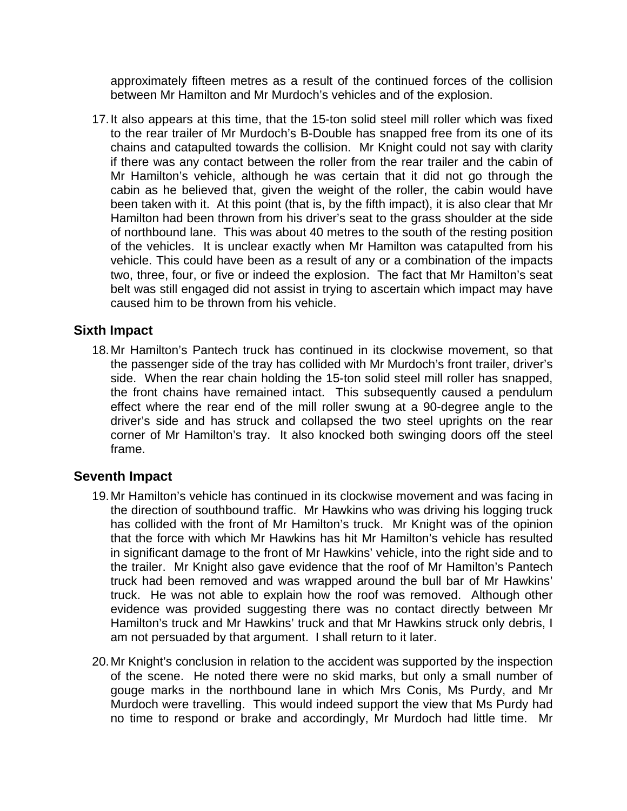approximately fifteen metres as a result of the continued forces of the collision between Mr Hamilton and Mr Murdoch's vehicles and of the explosion.

17. It also appears at this time, that the 15-ton solid steel mill roller which was fixed to the rear trailer of Mr Murdoch's B-Double has snapped free from its one of its chains and catapulted towards the collision. Mr Knight could not say with clarity if there was any contact between the roller from the rear trailer and the cabin of Mr Hamilton's vehicle, although he was certain that it did not go through the cabin as he believed that, given the weight of the roller, the cabin would have been taken with it. At this point (that is, by the fifth impact), it is also clear that Mr Hamilton had been thrown from his driver's seat to the grass shoulder at the side of northbound lane. This was about 40 metres to the south of the resting position of the vehicles. It is unclear exactly when Mr Hamilton was catapulted from his vehicle. This could have been as a result of any or a combination of the impacts two, three, four, or five or indeed the explosion. The fact that Mr Hamilton's seat belt was still engaged did not assist in trying to ascertain which impact may have caused him to be thrown from his vehicle.

#### **Sixth Impact**

18. Mr Hamilton's Pantech truck has continued in its clockwise movement, so that the passenger side of the tray has collided with Mr Murdoch's front trailer, driver's side. When the rear chain holding the 15-ton solid steel mill roller has snapped, the front chains have remained intact. This subsequently caused a pendulum effect where the rear end of the mill roller swung at a 90-degree angle to the driver's side and has struck and collapsed the two steel uprights on the rear corner of Mr Hamilton's tray. It also knocked both swinging doors off the steel frame.

#### **Seventh Impact**

- 19. Mr Hamilton's vehicle has continued in its clockwise movement and was facing in the direction of southbound traffic. Mr Hawkins who was driving his logging truck has collided with the front of Mr Hamilton's truck. Mr Knight was of the opinion that the force with which Mr Hawkins has hit Mr Hamilton's vehicle has resulted in significant damage to the front of Mr Hawkins' vehicle, into the right side and to the trailer. Mr Knight also gave evidence that the roof of Mr Hamilton's Pantech truck had been removed and was wrapped around the bull bar of Mr Hawkins' truck. He was not able to explain how the roof was removed. Although other evidence was provided suggesting there was no contact directly between Mr Hamilton's truck and Mr Hawkins' truck and that Mr Hawkins struck only debris, I am not persuaded by that argument. I shall return to it later.
- 20. Mr Knight's conclusion in relation to the accident was supported by the inspection of the scene. He noted there were no skid marks, but only a small number of gouge marks in the northbound lane in which Mrs Conis, Ms Purdy, and Mr Murdoch were travelling. This would indeed support the view that Ms Purdy had no time to respond or brake and accordingly, Mr Murdoch had little time. Mr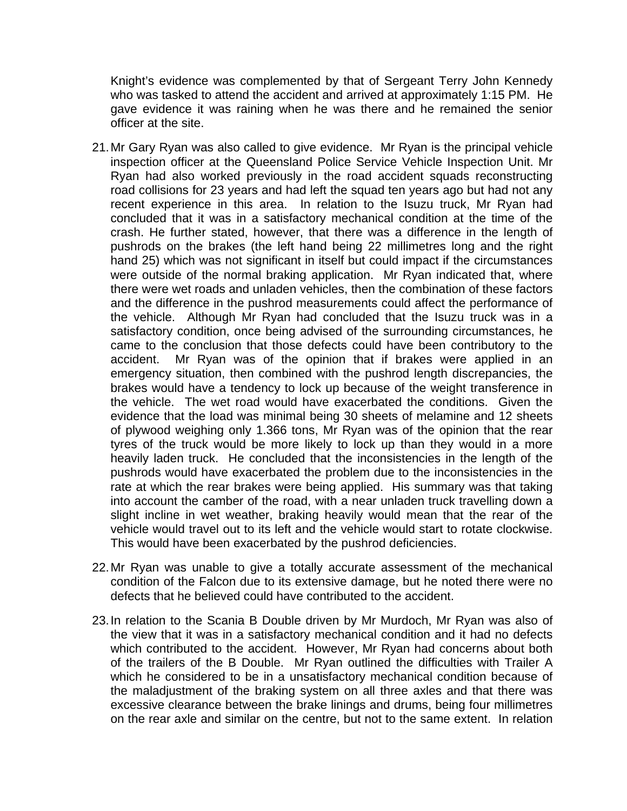Knight's evidence was complemented by that of Sergeant Terry John Kennedy who was tasked to attend the accident and arrived at approximately 1:15 PM. He gave evidence it was raining when he was there and he remained the senior officer at the site.

- 21. Mr Gary Ryan was also called to give evidence. Mr Ryan is the principal vehicle inspection officer at the Queensland Police Service Vehicle Inspection Unit. Mr Ryan had also worked previously in the road accident squads reconstructing road collisions for 23 years and had left the squad ten years ago but had not any recent experience in this area. In relation to the Isuzu truck, Mr Ryan had concluded that it was in a satisfactory mechanical condition at the time of the crash. He further stated, however, that there was a difference in the length of pushrods on the brakes (the left hand being 22 millimetres long and the right hand 25) which was not significant in itself but could impact if the circumstances were outside of the normal braking application. Mr Ryan indicated that, where there were wet roads and unladen vehicles, then the combination of these factors and the difference in the pushrod measurements could affect the performance of the vehicle. Although Mr Ryan had concluded that the Isuzu truck was in a satisfactory condition, once being advised of the surrounding circumstances, he came to the conclusion that those defects could have been contributory to the accident. Mr Ryan was of the opinion that if brakes were applied in an emergency situation, then combined with the pushrod length discrepancies, the brakes would have a tendency to lock up because of the weight transference in the vehicle. The wet road would have exacerbated the conditions. Given the evidence that the load was minimal being 30 sheets of melamine and 12 sheets of plywood weighing only 1.366 tons, Mr Ryan was of the opinion that the rear tyres of the truck would be more likely to lock up than they would in a more heavily laden truck. He concluded that the inconsistencies in the length of the pushrods would have exacerbated the problem due to the inconsistencies in the rate at which the rear brakes were being applied. His summary was that taking into account the camber of the road, with a near unladen truck travelling down a slight incline in wet weather, braking heavily would mean that the rear of the vehicle would travel out to its left and the vehicle would start to rotate clockwise. This would have been exacerbated by the pushrod deficiencies.
- 22. Mr Ryan was unable to give a totally accurate assessment of the mechanical condition of the Falcon due to its extensive damage, but he noted there were no defects that he believed could have contributed to the accident.
- 23. In relation to the Scania B Double driven by Mr Murdoch, Mr Ryan was also of the view that it was in a satisfactory mechanical condition and it had no defects which contributed to the accident. However, Mr Ryan had concerns about both of the trailers of the B Double. Mr Ryan outlined the difficulties with Trailer A which he considered to be in a unsatisfactory mechanical condition because of the maladjustment of the braking system on all three axles and that there was excessive clearance between the brake linings and drums, being four millimetres on the rear axle and similar on the centre, but not to the same extent. In relation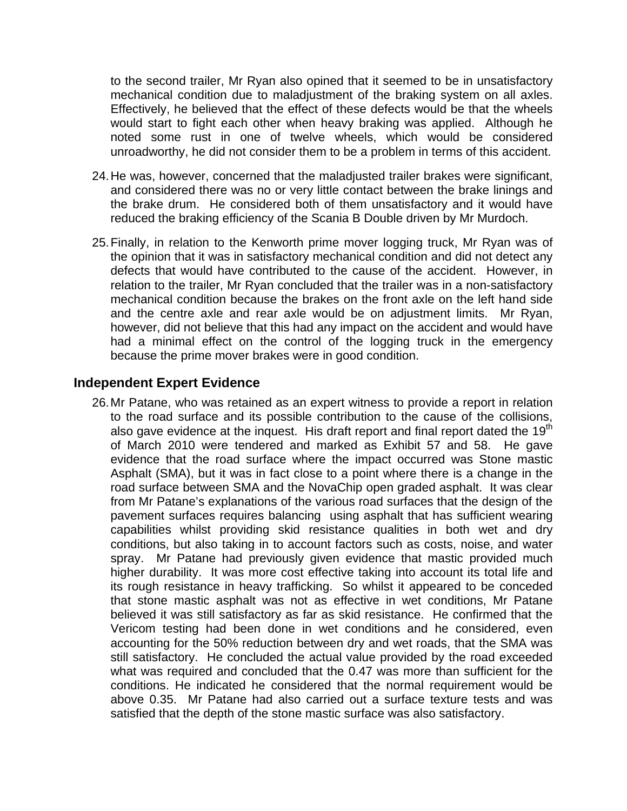to the second trailer, Mr Ryan also opined that it seemed to be in unsatisfactory mechanical condition due to maladjustment of the braking system on all axles. Effectively, he believed that the effect of these defects would be that the wheels would start to fight each other when heavy braking was applied. Although he noted some rust in one of twelve wheels, which would be considered unroadworthy, he did not consider them to be a problem in terms of this accident.

- 24. He was, however, concerned that the maladjusted trailer brakes were significant, and considered there was no or very little contact between the brake linings and the brake drum. He considered both of them unsatisfactory and it would have reduced the braking efficiency of the Scania B Double driven by Mr Murdoch.
- 25. Finally, in relation to the Kenworth prime mover logging truck, Mr Ryan was of the opinion that it was in satisfactory mechanical condition and did not detect any defects that would have contributed to the cause of the accident. However, in relation to the trailer, Mr Ryan concluded that the trailer was in a non-satisfactory mechanical condition because the brakes on the front axle on the left hand side and the centre axle and rear axle would be on adjustment limits. Mr Ryan, however, did not believe that this had any impact on the accident and would have had a minimal effect on the control of the logging truck in the emergency because the prime mover brakes were in good condition.

#### **Independent Expert Evidence**

26. Mr Patane, who was retained as an expert witness to provide a report in relation to the road surface and its possible contribution to the cause of the collisions, also gave evidence at the inquest. His draft report and final report dated the  $19<sup>th</sup>$ of March 2010 were tendered and marked as Exhibit 57 and 58. He gave evidence that the road surface where the impact occurred was Stone mastic Asphalt (SMA), but it was in fact close to a point where there is a change in the road surface between SMA and the NovaChip open graded asphalt. It was clear from Mr Patane's explanations of the various road surfaces that the design of the pavement surfaces requires balancing using asphalt that has sufficient wearing capabilities whilst providing skid resistance qualities in both wet and dry conditions, but also taking in to account factors such as costs, noise, and water spray. Mr Patane had previously given evidence that mastic provided much higher durability. It was more cost effective taking into account its total life and its rough resistance in heavy trafficking. So whilst it appeared to be conceded that stone mastic asphalt was not as effective in wet conditions, Mr Patane believed it was still satisfactory as far as skid resistance. He confirmed that the Vericom testing had been done in wet conditions and he considered, even accounting for the 50% reduction between dry and wet roads, that the SMA was still satisfactory. He concluded the actual value provided by the road exceeded what was required and concluded that the 0.47 was more than sufficient for the conditions. He indicated he considered that the normal requirement would be above 0.35. Mr Patane had also carried out a surface texture tests and was satisfied that the depth of the stone mastic surface was also satisfactory.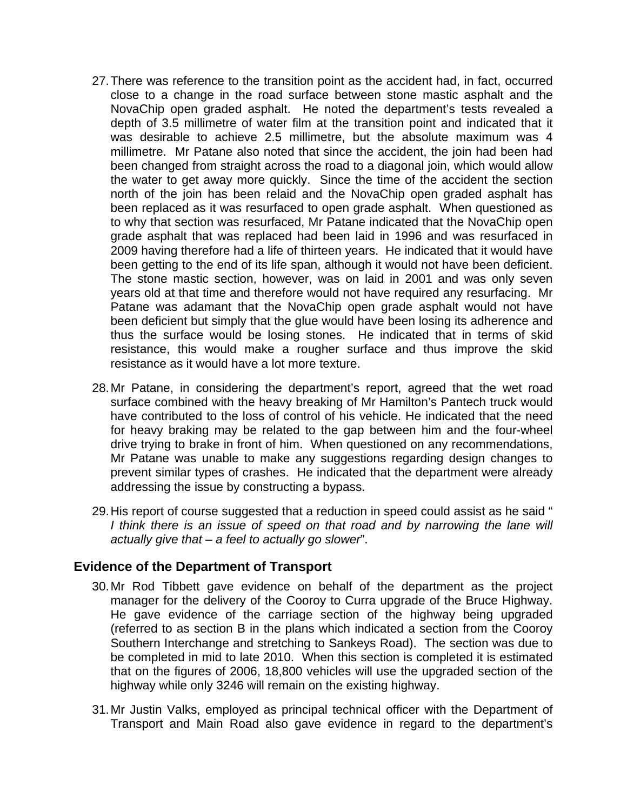- 27. There was reference to the transition point as the accident had, in fact, occurred close to a change in the road surface between stone mastic asphalt and the NovaChip open graded asphalt. He noted the department's tests revealed a depth of 3.5 millimetre of water film at the transition point and indicated that it was desirable to achieve 2.5 millimetre, but the absolute maximum was 4 millimetre. Mr Patane also noted that since the accident, the join had been had been changed from straight across the road to a diagonal join, which would allow the water to get away more quickly. Since the time of the accident the section north of the join has been relaid and the NovaChip open graded asphalt has been replaced as it was resurfaced to open grade asphalt. When questioned as to why that section was resurfaced, Mr Patane indicated that the NovaChip open grade asphalt that was replaced had been laid in 1996 and was resurfaced in 2009 having therefore had a life of thirteen years. He indicated that it would have been getting to the end of its life span, although it would not have been deficient. The stone mastic section, however, was on laid in 2001 and was only seven years old at that time and therefore would not have required any resurfacing. Mr Patane was adamant that the NovaChip open grade asphalt would not have been deficient but simply that the glue would have been losing its adherence and thus the surface would be losing stones. He indicated that in terms of skid resistance, this would make a rougher surface and thus improve the skid resistance as it would have a lot more texture.
- 28. Mr Patane, in considering the department's report, agreed that the wet road surface combined with the heavy breaking of Mr Hamilton's Pantech truck would have contributed to the loss of control of his vehicle. He indicated that the need for heavy braking may be related to the gap between him and the four-wheel drive trying to brake in front of him. When questioned on any recommendations, Mr Patane was unable to make any suggestions regarding design changes to prevent similar types of crashes. He indicated that the department were already addressing the issue by constructing a bypass.
- 29. His report of course suggested that a reduction in speed could assist as he said " *I think there is an issue of speed on that road and by narrowing the lane will actually give that – a feel to actually go slower*".

#### **Evidence of the Department of Transport**

- 30. Mr Rod Tibbett gave evidence on behalf of the department as the project manager for the delivery of the Cooroy to Curra upgrade of the Bruce Highway. He gave evidence of the carriage section of the highway being upgraded (referred to as section B in the plans which indicated a section from the Cooroy Southern Interchange and stretching to Sankeys Road). The section was due to be completed in mid to late 2010. When this section is completed it is estimated that on the figures of 2006, 18,800 vehicles will use the upgraded section of the highway while only 3246 will remain on the existing highway.
- 31. Mr Justin Valks, employed as principal technical officer with the Department of Transport and Main Road also gave evidence in regard to the department's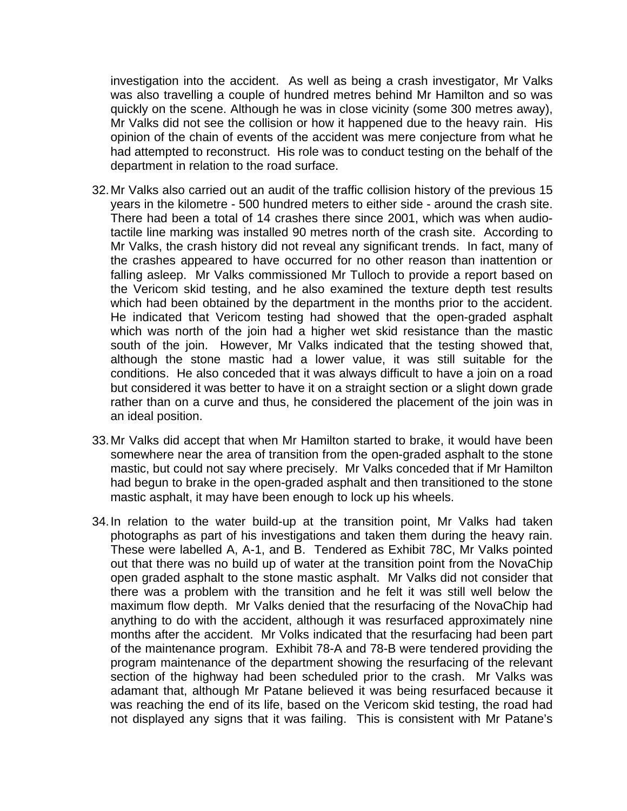investigation into the accident. As well as being a crash investigator, Mr Valks was also travelling a couple of hundred metres behind Mr Hamilton and so was quickly on the scene. Although he was in close vicinity (some 300 metres away), Mr Valks did not see the collision or how it happened due to the heavy rain. His opinion of the chain of events of the accident was mere conjecture from what he had attempted to reconstruct. His role was to conduct testing on the behalf of the department in relation to the road surface.

- 32. Mr Valks also carried out an audit of the traffic collision history of the previous 15 years in the kilometre - 500 hundred meters to either side - around the crash site. There had been a total of 14 crashes there since 2001, which was when audiotactile line marking was installed 90 metres north of the crash site. According to Mr Valks, the crash history did not reveal any significant trends. In fact, many of the crashes appeared to have occurred for no other reason than inattention or falling asleep. Mr Valks commissioned Mr Tulloch to provide a report based on the Vericom skid testing, and he also examined the texture depth test results which had been obtained by the department in the months prior to the accident. He indicated that Vericom testing had showed that the open-graded asphalt which was north of the join had a higher wet skid resistance than the mastic south of the join. However, Mr Valks indicated that the testing showed that, although the stone mastic had a lower value, it was still suitable for the conditions. He also conceded that it was always difficult to have a join on a road but considered it was better to have it on a straight section or a slight down grade rather than on a curve and thus, he considered the placement of the join was in an ideal position.
- 33. Mr Valks did accept that when Mr Hamilton started to brake, it would have been somewhere near the area of transition from the open-graded asphalt to the stone mastic, but could not say where precisely. Mr Valks conceded that if Mr Hamilton had begun to brake in the open-graded asphalt and then transitioned to the stone mastic asphalt, it may have been enough to lock up his wheels.
- 34. In relation to the water build-up at the transition point, Mr Valks had taken photographs as part of his investigations and taken them during the heavy rain. These were labelled A, A-1, and B. Tendered as Exhibit 78C, Mr Valks pointed out that there was no build up of water at the transition point from the NovaChip open graded asphalt to the stone mastic asphalt. Mr Valks did not consider that there was a problem with the transition and he felt it was still well below the maximum flow depth. Mr Valks denied that the resurfacing of the NovaChip had anything to do with the accident, although it was resurfaced approximately nine months after the accident. Mr Volks indicated that the resurfacing had been part of the maintenance program. Exhibit 78-A and 78-B were tendered providing the program maintenance of the department showing the resurfacing of the relevant section of the highway had been scheduled prior to the crash. Mr Valks was adamant that, although Mr Patane believed it was being resurfaced because it was reaching the end of its life, based on the Vericom skid testing, the road had not displayed any signs that it was failing. This is consistent with Mr Patane's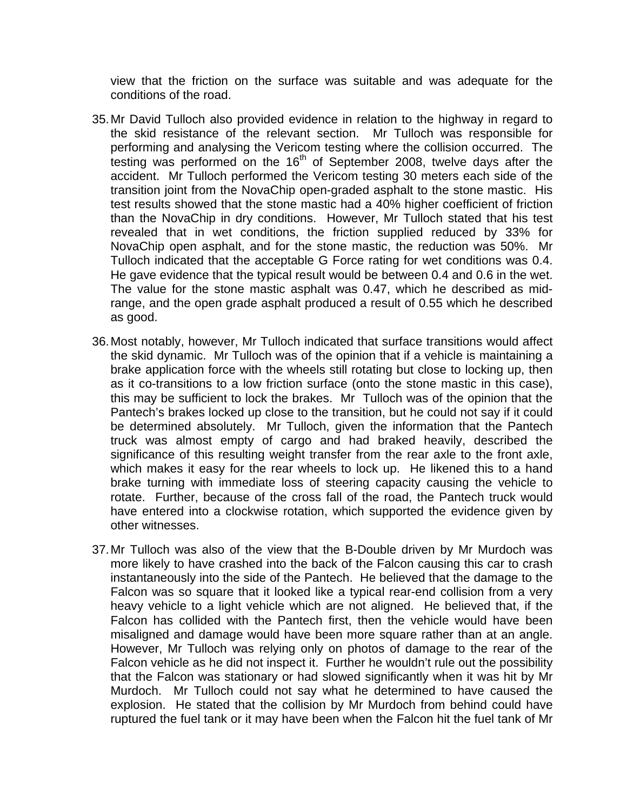view that the friction on the surface was suitable and was adequate for the conditions of the road.

- 35. Mr David Tulloch also provided evidence in relation to the highway in regard to the skid resistance of the relevant section. Mr Tulloch was responsible for performing and analysing the Vericom testing where the collision occurred. The testing was performed on the 16<sup>th</sup> of September 2008, twelve days after the accident. Mr Tulloch performed the Vericom testing 30 meters each side of the transition joint from the NovaChip open-graded asphalt to the stone mastic. His test results showed that the stone mastic had a 40% higher coefficient of friction than the NovaChip in dry conditions. However, Mr Tulloch stated that his test revealed that in wet conditions, the friction supplied reduced by 33% for NovaChip open asphalt, and for the stone mastic, the reduction was 50%. Mr Tulloch indicated that the acceptable G Force rating for wet conditions was 0.4. He gave evidence that the typical result would be between 0.4 and 0.6 in the wet. The value for the stone mastic asphalt was 0.47, which he described as midrange, and the open grade asphalt produced a result of 0.55 which he described as good.
- 36. Most notably, however, Mr Tulloch indicated that surface transitions would affect the skid dynamic. Mr Tulloch was of the opinion that if a vehicle is maintaining a brake application force with the wheels still rotating but close to locking up, then as it co-transitions to a low friction surface (onto the stone mastic in this case), this may be sufficient to lock the brakes. Mr Tulloch was of the opinion that the Pantech's brakes locked up close to the transition, but he could not say if it could be determined absolutely. Mr Tulloch, given the information that the Pantech truck was almost empty of cargo and had braked heavily, described the significance of this resulting weight transfer from the rear axle to the front axle, which makes it easy for the rear wheels to lock up. He likened this to a hand brake turning with immediate loss of steering capacity causing the vehicle to rotate. Further, because of the cross fall of the road, the Pantech truck would have entered into a clockwise rotation, which supported the evidence given by other witnesses.
- 37. Mr Tulloch was also of the view that the B-Double driven by Mr Murdoch was more likely to have crashed into the back of the Falcon causing this car to crash instantaneously into the side of the Pantech. He believed that the damage to the Falcon was so square that it looked like a typical rear-end collision from a very heavy vehicle to a light vehicle which are not aligned. He believed that, if the Falcon has collided with the Pantech first, then the vehicle would have been misaligned and damage would have been more square rather than at an angle. However, Mr Tulloch was relying only on photos of damage to the rear of the Falcon vehicle as he did not inspect it. Further he wouldn't rule out the possibility that the Falcon was stationary or had slowed significantly when it was hit by Mr Murdoch. Mr Tulloch could not say what he determined to have caused the explosion. He stated that the collision by Mr Murdoch from behind could have ruptured the fuel tank or it may have been when the Falcon hit the fuel tank of Mr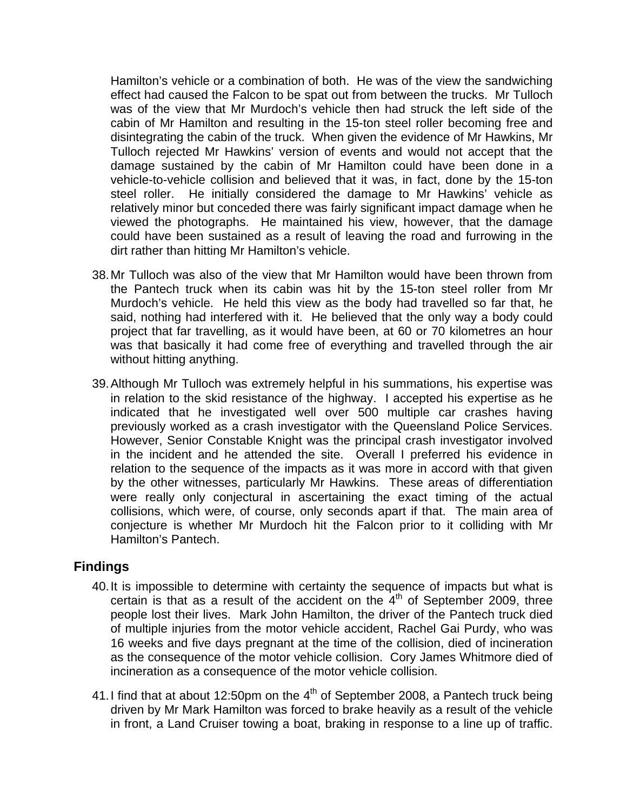Hamilton's vehicle or a combination of both. He was of the view the sandwiching effect had caused the Falcon to be spat out from between the trucks. Mr Tulloch was of the view that Mr Murdoch's vehicle then had struck the left side of the cabin of Mr Hamilton and resulting in the 15-ton steel roller becoming free and disintegrating the cabin of the truck. When given the evidence of Mr Hawkins, Mr Tulloch rejected Mr Hawkins' version of events and would not accept that the damage sustained by the cabin of Mr Hamilton could have been done in a vehicle-to-vehicle collision and believed that it was, in fact, done by the 15-ton steel roller. He initially considered the damage to Mr Hawkins' vehicle as relatively minor but conceded there was fairly significant impact damage when he viewed the photographs. He maintained his view, however, that the damage could have been sustained as a result of leaving the road and furrowing in the dirt rather than hitting Mr Hamilton's vehicle.

- 38. Mr Tulloch was also of the view that Mr Hamilton would have been thrown from the Pantech truck when its cabin was hit by the 15-ton steel roller from Mr Murdoch's vehicle. He held this view as the body had travelled so far that, he said, nothing had interfered with it. He believed that the only way a body could project that far travelling, as it would have been, at 60 or 70 kilometres an hour was that basically it had come free of everything and travelled through the air without hitting anything.
- 39. Although Mr Tulloch was extremely helpful in his summations, his expertise was in relation to the skid resistance of the highway. I accepted his expertise as he indicated that he investigated well over 500 multiple car crashes having previously worked as a crash investigator with the Queensland Police Services. However, Senior Constable Knight was the principal crash investigator involved in the incident and he attended the site. Overall I preferred his evidence in relation to the sequence of the impacts as it was more in accord with that given by the other witnesses, particularly Mr Hawkins. These areas of differentiation were really only conjectural in ascertaining the exact timing of the actual collisions, which were, of course, only seconds apart if that. The main area of conjecture is whether Mr Murdoch hit the Falcon prior to it colliding with Mr Hamilton's Pantech.

## **Findings**

- 40. It is impossible to determine with certainty the sequence of impacts but what is certain is that as a result of the accident on the  $4<sup>th</sup>$  of September 2009, three people lost their lives. Mark John Hamilton, the driver of the Pantech truck died of multiple injuries from the motor vehicle accident, Rachel Gai Purdy, who was 16 weeks and five days pregnant at the time of the collision, died of incineration as the consequence of the motor vehicle collision. Cory James Whitmore died of incineration as a consequence of the motor vehicle collision.
- 41. I find that at about 12:50pm on the  $4<sup>th</sup>$  of September 2008, a Pantech truck being driven by Mr Mark Hamilton was forced to brake heavily as a result of the vehicle in front, a Land Cruiser towing a boat, braking in response to a line up of traffic.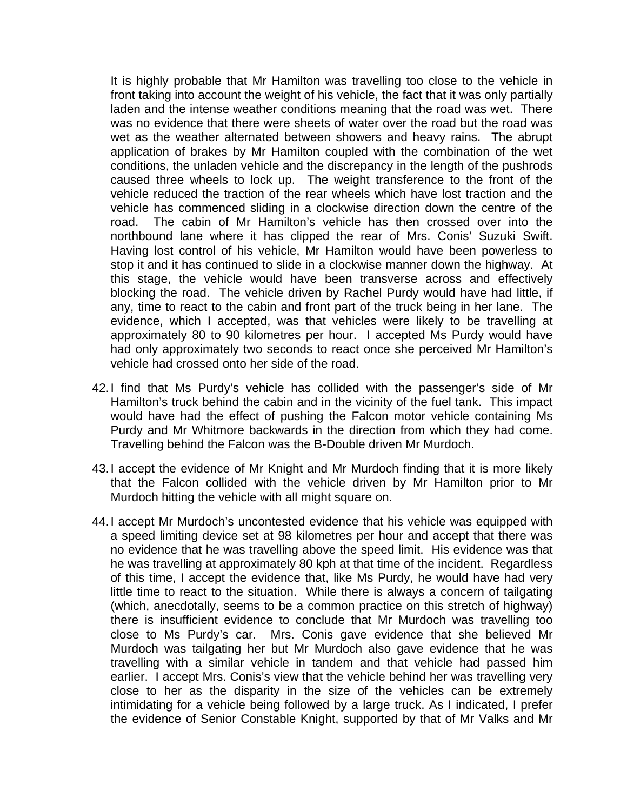It is highly probable that Mr Hamilton was travelling too close to the vehicle in front taking into account the weight of his vehicle, the fact that it was only partially laden and the intense weather conditions meaning that the road was wet. There was no evidence that there were sheets of water over the road but the road was wet as the weather alternated between showers and heavy rains. The abrupt application of brakes by Mr Hamilton coupled with the combination of the wet conditions, the unladen vehicle and the discrepancy in the length of the pushrods caused three wheels to lock up. The weight transference to the front of the vehicle reduced the traction of the rear wheels which have lost traction and the vehicle has commenced sliding in a clockwise direction down the centre of the road. The cabin of Mr Hamilton's vehicle has then crossed over into the northbound lane where it has clipped the rear of Mrs. Conis' Suzuki Swift. Having lost control of his vehicle, Mr Hamilton would have been powerless to stop it and it has continued to slide in a clockwise manner down the highway. At this stage, the vehicle would have been transverse across and effectively blocking the road. The vehicle driven by Rachel Purdy would have had little, if any, time to react to the cabin and front part of the truck being in her lane. The evidence, which I accepted, was that vehicles were likely to be travelling at approximately 80 to 90 kilometres per hour. I accepted Ms Purdy would have had only approximately two seconds to react once she perceived Mr Hamilton's vehicle had crossed onto her side of the road.

- 42. I find that Ms Purdy's vehicle has collided with the passenger's side of Mr Hamilton's truck behind the cabin and in the vicinity of the fuel tank. This impact would have had the effect of pushing the Falcon motor vehicle containing Ms Purdy and Mr Whitmore backwards in the direction from which they had come. Travelling behind the Falcon was the B-Double driven Mr Murdoch.
- 43. I accept the evidence of Mr Knight and Mr Murdoch finding that it is more likely that the Falcon collided with the vehicle driven by Mr Hamilton prior to Mr Murdoch hitting the vehicle with all might square on.
- 44. I accept Mr Murdoch's uncontested evidence that his vehicle was equipped with a speed limiting device set at 98 kilometres per hour and accept that there was no evidence that he was travelling above the speed limit. His evidence was that he was travelling at approximately 80 kph at that time of the incident. Regardless of this time, I accept the evidence that, like Ms Purdy, he would have had very little time to react to the situation. While there is always a concern of tailgating (which, anecdotally, seems to be a common practice on this stretch of highway) there is insufficient evidence to conclude that Mr Murdoch was travelling too close to Ms Purdy's car. Mrs. Conis gave evidence that she believed Mr Murdoch was tailgating her but Mr Murdoch also gave evidence that he was travelling with a similar vehicle in tandem and that vehicle had passed him earlier. I accept Mrs. Conis's view that the vehicle behind her was travelling very close to her as the disparity in the size of the vehicles can be extremely intimidating for a vehicle being followed by a large truck. As I indicated, I prefer the evidence of Senior Constable Knight, supported by that of Mr Valks and Mr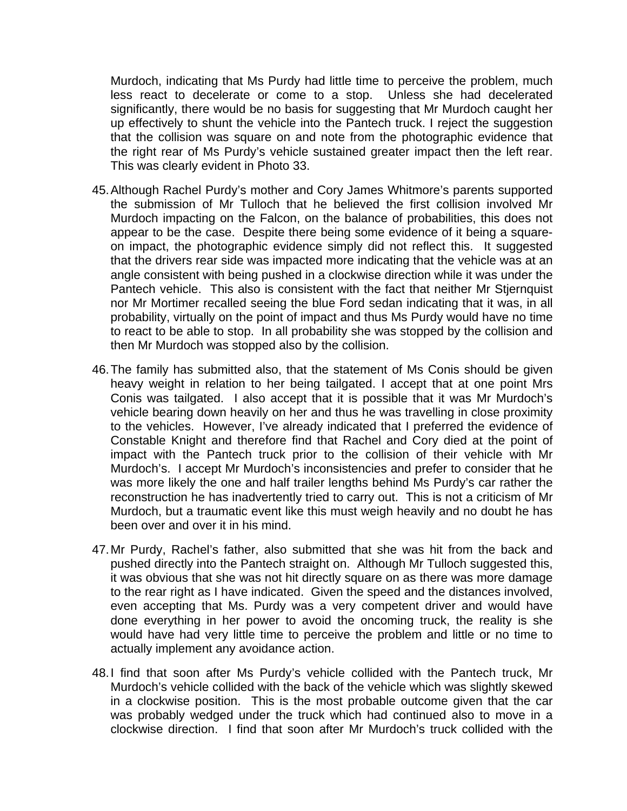Murdoch, indicating that Ms Purdy had little time to perceive the problem, much less react to decelerate or come to a stop. Unless she had decelerated significantly, there would be no basis for suggesting that Mr Murdoch caught her up effectively to shunt the vehicle into the Pantech truck. I reject the suggestion that the collision was square on and note from the photographic evidence that the right rear of Ms Purdy's vehicle sustained greater impact then the left rear. This was clearly evident in Photo 33.

- 45. Although Rachel Purdy's mother and Cory James Whitmore's parents supported the submission of Mr Tulloch that he believed the first collision involved Mr Murdoch impacting on the Falcon, on the balance of probabilities, this does not appear to be the case. Despite there being some evidence of it being a squareon impact, the photographic evidence simply did not reflect this. It suggested that the drivers rear side was impacted more indicating that the vehicle was at an angle consistent with being pushed in a clockwise direction while it was under the Pantech vehicle. This also is consistent with the fact that neither Mr Stjernquist nor Mr Mortimer recalled seeing the blue Ford sedan indicating that it was, in all probability, virtually on the point of impact and thus Ms Purdy would have no time to react to be able to stop. In all probability she was stopped by the collision and then Mr Murdoch was stopped also by the collision.
- 46. The family has submitted also, that the statement of Ms Conis should be given heavy weight in relation to her being tailgated. I accept that at one point Mrs Conis was tailgated. I also accept that it is possible that it was Mr Murdoch's vehicle bearing down heavily on her and thus he was travelling in close proximity to the vehicles. However, I've already indicated that I preferred the evidence of Constable Knight and therefore find that Rachel and Cory died at the point of impact with the Pantech truck prior to the collision of their vehicle with Mr Murdoch's. I accept Mr Murdoch's inconsistencies and prefer to consider that he was more likely the one and half trailer lengths behind Ms Purdy's car rather the reconstruction he has inadvertently tried to carry out. This is not a criticism of Mr Murdoch, but a traumatic event like this must weigh heavily and no doubt he has been over and over it in his mind.
- 47. Mr Purdy, Rachel's father, also submitted that she was hit from the back and pushed directly into the Pantech straight on. Although Mr Tulloch suggested this, it was obvious that she was not hit directly square on as there was more damage to the rear right as I have indicated. Given the speed and the distances involved, even accepting that Ms. Purdy was a very competent driver and would have done everything in her power to avoid the oncoming truck, the reality is she would have had very little time to perceive the problem and little or no time to actually implement any avoidance action.
- 48. I find that soon after Ms Purdy's vehicle collided with the Pantech truck, Mr Murdoch's vehicle collided with the back of the vehicle which was slightly skewed in a clockwise position. This is the most probable outcome given that the car was probably wedged under the truck which had continued also to move in a clockwise direction. I find that soon after Mr Murdoch's truck collided with the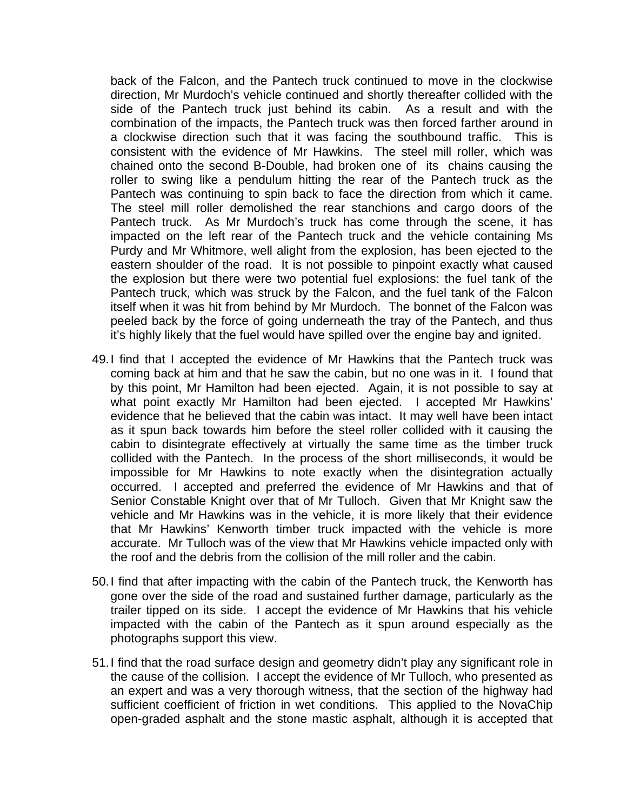back of the Falcon, and the Pantech truck continued to move in the clockwise direction, Mr Murdoch's vehicle continued and shortly thereafter collided with the side of the Pantech truck just behind its cabin. As a result and with the combination of the impacts, the Pantech truck was then forced farther around in a clockwise direction such that it was facing the southbound traffic. This is consistent with the evidence of Mr Hawkins. The steel mill roller, which was chained onto the second B-Double, had broken one of its chains causing the roller to swing like a pendulum hitting the rear of the Pantech truck as the Pantech was continuing to spin back to face the direction from which it came. The steel mill roller demolished the rear stanchions and cargo doors of the Pantech truck. As Mr Murdoch's truck has come through the scene, it has impacted on the left rear of the Pantech truck and the vehicle containing Ms Purdy and Mr Whitmore, well alight from the explosion, has been ejected to the eastern shoulder of the road. It is not possible to pinpoint exactly what caused the explosion but there were two potential fuel explosions: the fuel tank of the Pantech truck, which was struck by the Falcon, and the fuel tank of the Falcon itself when it was hit from behind by Mr Murdoch. The bonnet of the Falcon was peeled back by the force of going underneath the tray of the Pantech, and thus it's highly likely that the fuel would have spilled over the engine bay and ignited.

- 49. I find that I accepted the evidence of Mr Hawkins that the Pantech truck was coming back at him and that he saw the cabin, but no one was in it. I found that by this point, Mr Hamilton had been ejected. Again, it is not possible to say at what point exactly Mr Hamilton had been ejected. I accepted Mr Hawkins' evidence that he believed that the cabin was intact. It may well have been intact as it spun back towards him before the steel roller collided with it causing the cabin to disintegrate effectively at virtually the same time as the timber truck collided with the Pantech. In the process of the short milliseconds, it would be impossible for Mr Hawkins to note exactly when the disintegration actually occurred. I accepted and preferred the evidence of Mr Hawkins and that of Senior Constable Knight over that of Mr Tulloch. Given that Mr Knight saw the vehicle and Mr Hawkins was in the vehicle, it is more likely that their evidence that Mr Hawkins' Kenworth timber truck impacted with the vehicle is more accurate. Mr Tulloch was of the view that Mr Hawkins vehicle impacted only with the roof and the debris from the collision of the mill roller and the cabin.
- 50. I find that after impacting with the cabin of the Pantech truck, the Kenworth has gone over the side of the road and sustained further damage, particularly as the trailer tipped on its side. I accept the evidence of Mr Hawkins that his vehicle impacted with the cabin of the Pantech as it spun around especially as the photographs support this view.
- 51. I find that the road surface design and geometry didn't play any significant role in the cause of the collision. I accept the evidence of Mr Tulloch, who presented as an expert and was a very thorough witness, that the section of the highway had sufficient coefficient of friction in wet conditions. This applied to the NovaChip open-graded asphalt and the stone mastic asphalt, although it is accepted that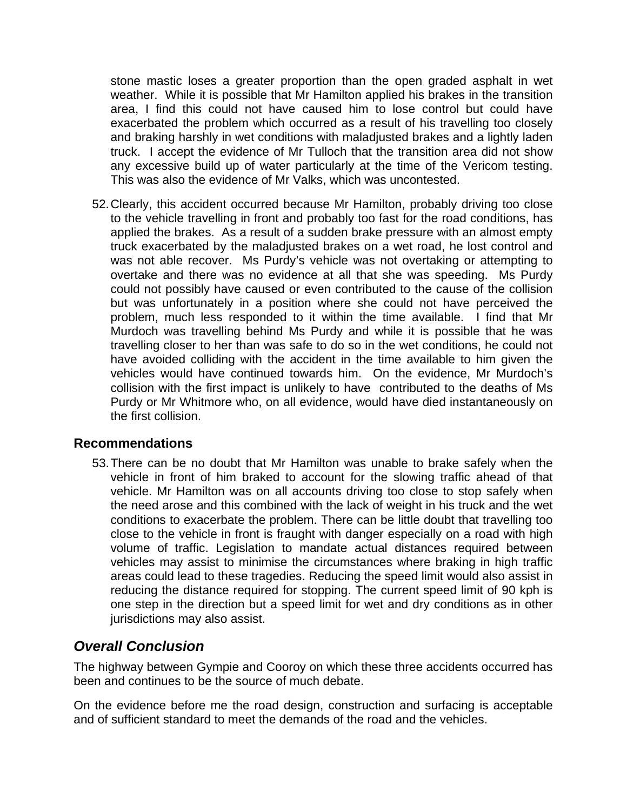stone mastic loses a greater proportion than the open graded asphalt in wet weather. While it is possible that Mr Hamilton applied his brakes in the transition area, I find this could not have caused him to lose control but could have exacerbated the problem which occurred as a result of his travelling too closely and braking harshly in wet conditions with maladjusted brakes and a lightly laden truck. I accept the evidence of Mr Tulloch that the transition area did not show any excessive build up of water particularly at the time of the Vericom testing. This was also the evidence of Mr Valks, which was uncontested.

52. Clearly, this accident occurred because Mr Hamilton, probably driving too close to the vehicle travelling in front and probably too fast for the road conditions, has applied the brakes. As a result of a sudden brake pressure with an almost empty truck exacerbated by the maladjusted brakes on a wet road, he lost control and was not able recover. Ms Purdy's vehicle was not overtaking or attempting to overtake and there was no evidence at all that she was speeding. Ms Purdy could not possibly have caused or even contributed to the cause of the collision but was unfortunately in a position where she could not have perceived the problem, much less responded to it within the time available. I find that Mr Murdoch was travelling behind Ms Purdy and while it is possible that he was travelling closer to her than was safe to do so in the wet conditions, he could not have avoided colliding with the accident in the time available to him given the vehicles would have continued towards him. On the evidence, Mr Murdoch's collision with the first impact is unlikely to have contributed to the deaths of Ms Purdy or Mr Whitmore who, on all evidence, would have died instantaneously on the first collision.

## **Recommendations**

53. There can be no doubt that Mr Hamilton was unable to brake safely when the vehicle in front of him braked to account for the slowing traffic ahead of that vehicle. Mr Hamilton was on all accounts driving too close to stop safely when the need arose and this combined with the lack of weight in his truck and the wet conditions to exacerbate the problem. There can be little doubt that travelling too close to the vehicle in front is fraught with danger especially on a road with high volume of traffic. Legislation to mandate actual distances required between vehicles may assist to minimise the circumstances where braking in high traffic areas could lead to these tragedies. Reducing the speed limit would also assist in reducing the distance required for stopping. The current speed limit of 90 kph is one step in the direction but a speed limit for wet and dry conditions as in other jurisdictions may also assist.

## *Overall Conclusion*

The highway between Gympie and Cooroy on which these three accidents occurred has been and continues to be the source of much debate.

On the evidence before me the road design, construction and surfacing is acceptable and of sufficient standard to meet the demands of the road and the vehicles.